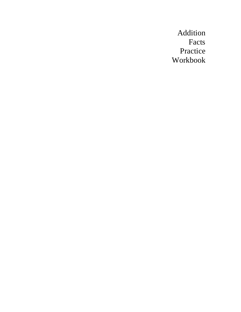Addition Facts Practice Workbook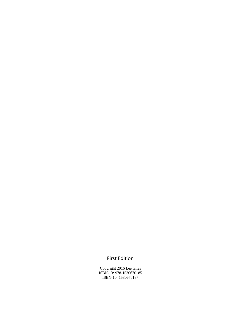## First Edition

Copyright 2016 Lee Giles ISBN-13: 978-1530670185 ISBN-10: 1530670187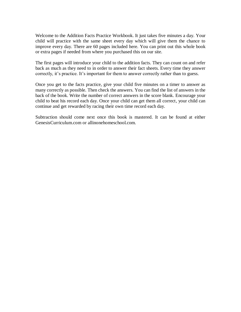Welcome to the Addition Facts Practice Workbook. It just takes five minutes a day. Your child will practice with the same sheet every day which will give them the chance to improve every day. There are 60 pages included here. You can print out this whole book or extra pages if needed from where you purchased this on our site.

The first pages will introduce your child to the addition facts. They can count on and refer back as much as they need to in order to answer their fact sheets. Every time they answer correctly, it's practice. It's important for them to answer correctly rather than to guess.

Once you get to the facts practice, give your child five minutes on a timer to answer as many correctly as possible. Then check the answers. You can find the list of answers in the back of the book. Write the number of correct answers in the score blank. Encourage your child to beat his record each day. Once your child can get them all correct, your child can continue and get rewarded by racing their own time record each day.

Subtraction should come next once this book is mastered. It can be found at either GenesisCurriculum.com or allinonehomeschool.com.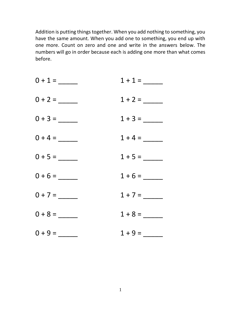Addition is putting things together. When you add nothing to something, you have the same amount. When you add one to something, you end up with one more. Count on zero and one and write in the answers below. The numbers will go in order because each is adding one more than what comes before.

| $0 + 1 =$ | $1 + 1 =$ |
|-----------|-----------|
| $0 + 2 =$ |           |
| $0 + 3 =$ | $1 + 3 =$ |
| $0 + 4 =$ |           |
| $0 + 5 =$ | $1 + 5 =$ |
| $0 + 6 =$ | $1 + 6 =$ |
| $0 + 7 =$ | $1 + 7 =$ |
| $0 + 8 =$ | $1 + 8 =$ |
| $0 + 9 =$ | $1 + 9 =$ |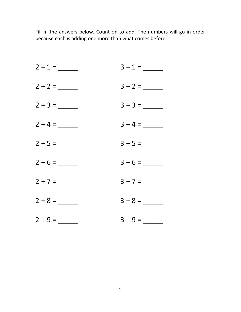| $2 + 1 =$ | $3 + 1 =$ |
|-----------|-----------|
| $2 + 2 =$ | $3 + 2 =$ |
|           |           |
| $2 + 4 =$ |           |
| $2 + 5 =$ |           |
| $2 + 6 =$ | $3 + 6 =$ |
| $2 + 7 =$ | $3 + 7 =$ |
|           |           |
| $2 + 9 =$ | $3 + 9 =$ |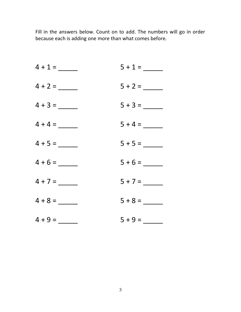| $4 + 1 =$ | $5 + 1 =$ |
|-----------|-----------|
| $4 + 2 =$ | $5 + 2 =$ |
| $4 + 3 =$ | $5 + 3 =$ |
| $4 + 4 =$ |           |
| $4 + 5 =$ | $5 + 5 =$ |
| $4 + 6 =$ | $5 + 6 =$ |
| $4 + 7 =$ | $5 + 7 =$ |
| $4 + 8 =$ |           |
| $4 + 9 =$ | $5 + 9 =$ |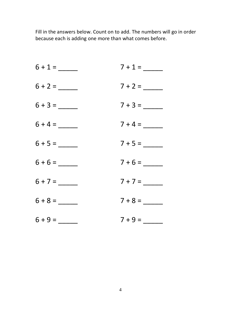| $6 + 1 =$ | $7 + 1 =$ |
|-----------|-----------|
| $6 + 2 =$ | $7 + 2 =$ |
| $6 + 3 =$ | $7 + 3 =$ |
| $6 + 4 =$ |           |
| $6 + 5 =$ |           |
| $6 + 6 =$ | $7 + 6 =$ |
| $6 + 7 =$ |           |
| $6 + 8 =$ |           |
| $6 + 9 =$ | $7 + 9 =$ |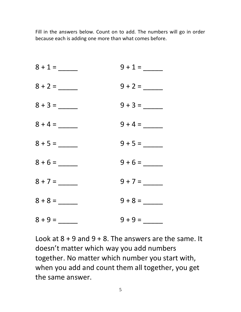| $8 + 1 =$ | $9 + 1 =$ |
|-----------|-----------|
| $8 + 2 =$ | $9 + 2 =$ |
| $8 + 3 =$ | $9 + 3 =$ |
| $8 + 4 =$ |           |
| $8 + 5 =$ |           |
| $8 + 6 =$ | $9 + 6 =$ |
| $8 + 7 =$ | $9 + 7 =$ |
| $8 + 8 =$ | $9 + 8 =$ |
| $8 + 9 =$ | $9 + 9 =$ |

Look at  $8 + 9$  and  $9 + 8$ . The answers are the same. It doesn't matter which way you add numbers together. No matter which number you start with, when you add and count them all together, you get the same answer.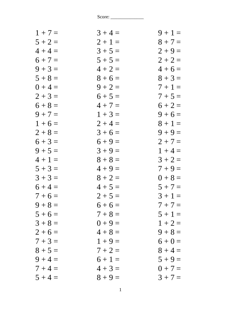| $1 + 7 =$ | $3 + 4 =$ | $9 + 1 =$ |
|-----------|-----------|-----------|
| $5 + 2 =$ | $2 + 1 =$ | $8 + 7 =$ |
| $4 + 4 =$ | $3 + 5 =$ | $2 + 9 =$ |
| $6 + 7 =$ | $5 + 5 =$ | $2 + 2 =$ |
| $9 + 3 =$ | $4 + 2 =$ | $4+6=$    |
| $5 + 8 =$ | $8 + 6 =$ | $8 + 3 =$ |
| $0 + 4 =$ | $9 + 2 =$ | $7 + 1 =$ |
| $2 + 3 =$ | $6 + 5 =$ | $7 + 5 =$ |
| $6 + 8 =$ | $4 + 7 =$ | $6 + 2 =$ |
| $9 + 7 =$ | $1 + 3 =$ | $9 + 6 =$ |
| $1 + 6 =$ | $2 + 4 =$ | $8 + 1 =$ |
| $2 + 8 =$ | $3 + 6 =$ | $9 + 9 =$ |
| $6 + 3 =$ | $6 + 9 =$ | $2 + 7 =$ |
| $9 + 5 =$ | $3 + 9 =$ | $1 + 4 =$ |
| $4 + 1 =$ | $8 + 8 =$ | $3 + 2 =$ |
| $5 + 3 =$ | $4 + 9 =$ | $7 + 9 =$ |
| $3 + 3 =$ | $8 + 2 =$ | $0 + 8 =$ |
| $6 + 4 =$ | $4 + 5 =$ | $5 + 7 =$ |
| $7 + 6 =$ | $2 + 5 =$ | $3 + 1 =$ |
| $9 + 8 =$ | $6+6=$    | $7 + 7 =$ |
| $5 + 6 =$ | $7 + 8 =$ | $5 + 1 =$ |
| $3 + 8 =$ | $0 + 9 =$ | $1 + 2 =$ |
| $2 + 6 =$ | $4 + 8 =$ | $9 + 8 =$ |
| $7 + 3 =$ | $1 + 9 =$ | $6 + 0 =$ |
| $8 + 5 =$ | $7 + 2 =$ | $8 + 4 =$ |
| $9 + 4 =$ | $6 + 1 =$ | $5 + 9 =$ |
| $7 + 4 =$ | $4 + 3 =$ | $0 + 7 =$ |
| $5 + 4 =$ | $8 + 9 =$ | $3 + 7 =$ |
|           |           |           |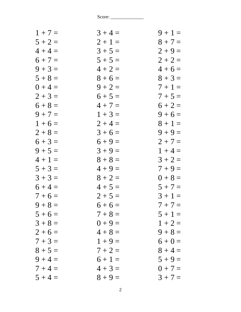| $1 + 7 =$ | $3 + 4 =$ | $9 + 1 =$ |
|-----------|-----------|-----------|
| $5 + 2 =$ | $2 + 1 =$ | $8 + 7 =$ |
| $4 + 4 =$ | $3 + 5 =$ | $2 + 9 =$ |
| $6 + 7 =$ | $5 + 5 =$ | $2 + 2 =$ |
| $9 + 3 =$ | $4 + 2 =$ | $4 + 6 =$ |
| $5 + 8 =$ | $8 + 6 =$ | $8 + 3 =$ |
| $0 + 4 =$ | $9 + 2 =$ | $7+1=$    |
| $2 + 3 =$ | $6 + 5 =$ | $7 + 5 =$ |
| $6 + 8 =$ | $4 + 7 =$ | $6 + 2 =$ |
| $9 + 7 =$ | $1 + 3 =$ | $9 + 6 =$ |
| $1+6=$    | $2 + 4 =$ | $8 + 1 =$ |
| $2 + 8 =$ | $3 + 6 =$ | $9 + 9 =$ |
| $6 + 3 =$ | $6 + 9 =$ | $2 + 7 =$ |
| $9 + 5 =$ | $3 + 9 =$ | $1 + 4 =$ |
| $4 + 1 =$ | $8 + 8 =$ | $3 + 2 =$ |
| $5 + 3 =$ | $4 + 9 =$ | $7 + 9 =$ |
| $3 + 3 =$ | $8 + 2 =$ | $0 + 8 =$ |
| $6 + 4 =$ | $4 + 5 =$ | $5 + 7 =$ |
| $7 + 6 =$ | $2 + 5 =$ | $3 + 1 =$ |
| $9 + 8 =$ | $6+6=$    | $7 + 7 =$ |
| $5 + 6 =$ | $7 + 8 =$ | $5 + 1 =$ |
| $3 + 8 =$ | $0 + 9 =$ | $1 + 2 =$ |
| $2+6=$    | $4 + 8 =$ | $9 + 8 =$ |
| $7 + 3 =$ | $1 + 9 =$ | $6 + 0 =$ |
| $8 + 5 =$ | $7 + 2 =$ | $8 + 4 =$ |
| $9 + 4 =$ | $6 + 1 =$ | $5 + 9 =$ |
| $7 + 4 =$ | $4 + 3 =$ | $0 + 7 =$ |
| $5 + 4 =$ | $8 + 9 =$ | $3 + 7 =$ |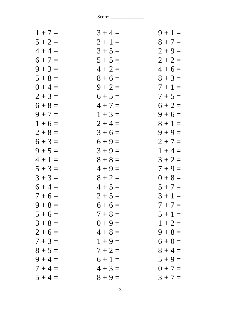| $3 + 4 =$ | $9 + 1 =$ |
|-----------|-----------|
| $2 + 1 =$ | $8 + 7 =$ |
| $3 + 5 =$ | $2 + 9 =$ |
| $5 + 5 =$ | $2 + 2 =$ |
| $4 + 2 =$ | $4 + 6 =$ |
| $8 + 6 =$ | $8 + 3 =$ |
| $9 + 2 =$ | $7+1=$    |
| $6 + 5 =$ | $7 + 5 =$ |
| $4 + 7 =$ | $6 + 2 =$ |
| $1 + 3 =$ | $9 + 6 =$ |
| $2 + 4 =$ | $8 + 1 =$ |
| $3 + 6 =$ | $9 + 9 =$ |
| $6 + 9 =$ | $2 + 7 =$ |
| $3 + 9 =$ | $1 + 4 =$ |
| $8 + 8 =$ | $3 + 2 =$ |
| $4 + 9 =$ | $7 + 9 =$ |
| $8 + 2 =$ | $0 + 8 =$ |
| $4 + 5 =$ | $5 + 7 =$ |
| $2 + 5 =$ | $3 + 1 =$ |
| $6+6=$    | $7 + 7 =$ |
| $7 + 8 =$ | $5 + 1 =$ |
| $0 + 9 =$ | $1 + 2 =$ |
| $4 + 8 =$ | $9 + 8 =$ |
| $1 + 9 =$ | $6 + 0 =$ |
| $7 + 2 =$ | $8 + 4 =$ |
| $6 + 1 =$ | $5 + 9 =$ |
| $4 + 3 =$ | $0 + 7 =$ |
| $8 + 9 =$ | $3 + 7 =$ |
|           |           |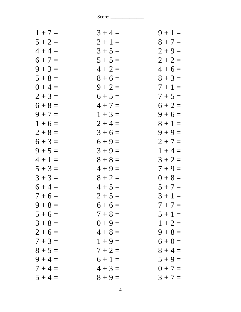| $1 + 7 =$ | $3 + 4 =$ | $9 + 1 =$ |
|-----------|-----------|-----------|
| $5 + 2 =$ | $2 + 1 =$ | $8 + 7 =$ |
| $4 + 4 =$ | $3 + 5 =$ | $2 + 9 =$ |
| $6 + 7 =$ | $5 + 5 =$ | $2 + 2 =$ |
| $9 + 3 =$ | $4 + 2 =$ | $4+6=$    |
| $5 + 8 =$ | $8 + 6 =$ | $8 + 3 =$ |
| $0 + 4 =$ | $9 + 2 =$ | $7 + 1 =$ |
| $2 + 3 =$ | $6 + 5 =$ | $7 + 5 =$ |
| $6 + 8 =$ | $4 + 7 =$ | $6 + 2 =$ |
| $9 + 7 =$ | $1 + 3 =$ | $9 + 6 =$ |
| $1+6=$    | $2 + 4 =$ | $8 + 1 =$ |
| $2 + 8 =$ | $3 + 6 =$ | $9 + 9 =$ |
| $6 + 3 =$ | $6 + 9 =$ | $2 + 7 =$ |
| $9 + 5 =$ | $3 + 9 =$ | $1 + 4 =$ |
| $4 + 1 =$ | $8 + 8 =$ | $3 + 2 =$ |
| $5 + 3 =$ | $4 + 9 =$ | $7 + 9 =$ |
| $3 + 3 =$ | $8 + 2 =$ | $0 + 8 =$ |
| $6 + 4 =$ | $4 + 5 =$ | $5 + 7 =$ |
| $7 + 6 =$ | $2 + 5 =$ | $3 + 1 =$ |
| $9 + 8 =$ | $6 + 6 =$ | $7 + 7 =$ |
| $5 + 6 =$ | $7 + 8 =$ | $5 + 1 =$ |
| $3 + 8 =$ | $0 + 9 =$ | $1 + 2 =$ |
| $2 + 6 =$ | $4 + 8 =$ | $9 + 8 =$ |
| $7 + 3 =$ | $1 + 9 =$ | $6 + 0 =$ |
| $8 + 5 =$ | $7 + 2 =$ | $8 + 4 =$ |
| $9 + 4 =$ | $6 + 1 =$ | $5 + 9 =$ |
| $7 + 4 =$ | $4 + 3 =$ | $0 + 7 =$ |
| $5 + 4 =$ | $8 + 9 =$ | $3 + 7 =$ |
|           |           |           |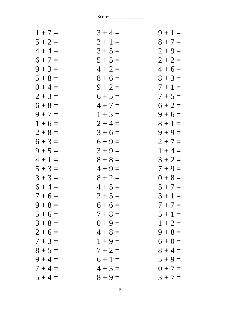| $1 + 7 =$ | $3 + 4 =$ | $9 + 1 =$ |
|-----------|-----------|-----------|
| $5 + 2 =$ | $2 + 1 =$ | $8 + 7 =$ |
| $4 + 4 =$ | $3 + 5 =$ | $2 + 9 =$ |
| $6 + 7 =$ | $5 + 5 =$ | $2 + 2 =$ |
| $9 + 3 =$ | $4 + 2 =$ | $4+6=$    |
| $5 + 8 =$ | $8 + 6 =$ | $8 + 3 =$ |
| $0 + 4 =$ | $9 + 2 =$ | $7 + 1 =$ |
| $2 + 3 =$ | $6 + 5 =$ | $7 + 5 =$ |
| $6 + 8 =$ | $4 + 7 =$ | $6 + 2 =$ |
| $9 + 7 =$ | $1 + 3 =$ | $9 + 6 =$ |
| $1+6=$    | $2 + 4 =$ | $8 + 1 =$ |
| $2 + 8 =$ | $3 + 6 =$ | $9 + 9 =$ |
| $6 + 3 =$ | $6 + 9 =$ | $2 + 7 =$ |
| $9 + 5 =$ | $3 + 9 =$ | $1 + 4 =$ |
| $4 + 1 =$ | $8 + 8 =$ | $3 + 2 =$ |
| $5 + 3 =$ | $4 + 9 =$ | $7 + 9 =$ |
| $3 + 3 =$ | $8 + 2 =$ | $0 + 8 =$ |
| $6 + 4 =$ | $4 + 5 =$ | $5 + 7 =$ |
| $7 + 6 =$ | $2 + 5 =$ | $3 + 1 =$ |
| $9 + 8 =$ | $6+6=$    | $7 + 7 =$ |
| $5 + 6 =$ | $7 + 8 =$ | $5 + 1 =$ |
| $3 + 8 =$ | $0 + 9 =$ | $1 + 2 =$ |
| $2+6=$    | $4 + 8 =$ | $9 + 8 =$ |
| $7 + 3 =$ | $1 + 9 =$ | $6 + 0 =$ |
| $8 + 5 =$ | $7 + 2 =$ | $8 + 4 =$ |
| $9 + 4 =$ | $6 + 1 =$ | $5 + 9 =$ |
| $7 + 4 =$ | $4 + 3 =$ | $0 + 7 =$ |
| $5 + 4 =$ | $8 + 9 =$ | $3 + 7 =$ |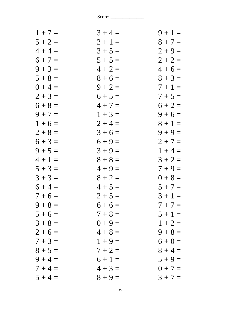| $3 + 4 =$ | $9 + 1 =$ |
|-----------|-----------|
| $2 + 1 =$ | $8 + 7 =$ |
| $3 + 5 =$ | $2 + 9 =$ |
| $5 + 5 =$ | $2 + 2 =$ |
| $4 + 2 =$ | $4 + 6 =$ |
| $8 + 6 =$ | $8 + 3 =$ |
| $9 + 2 =$ | $7 + 1 =$ |
| $6 + 5 =$ | $7 + 5 =$ |
| $4 + 7 =$ | $6 + 2 =$ |
| $1 + 3 =$ | $9 + 6 =$ |
| $2 + 4 =$ | $8 + 1 =$ |
| $3 + 6 =$ | $9 + 9 =$ |
| $6 + 9 =$ | $2 + 7 =$ |
| $3 + 9 =$ | $1 + 4 =$ |
| $8 + 8 =$ | $3 + 2 =$ |
| $4 + 9 =$ | $7 + 9 =$ |
| $8 + 2 =$ | $0 + 8 =$ |
| $4 + 5 =$ | $5 + 7 =$ |
| $2 + 5 =$ | $3 + 1 =$ |
| $6+6=$    | $7 + 7 =$ |
| $7 + 8 =$ | $5 + 1 =$ |
| $0 + 9 =$ | $1 + 2 =$ |
| $4 + 8 =$ | $9 + 8 =$ |
| $1 + 9 =$ | $6 + 0 =$ |
| $7 + 2 =$ | $8 + 4 =$ |
| $6 + 1 =$ | $5 + 9 =$ |
| $4 + 3 =$ | $0 + 7 =$ |
| $8 + 9 =$ | $3 + 7 =$ |
|           |           |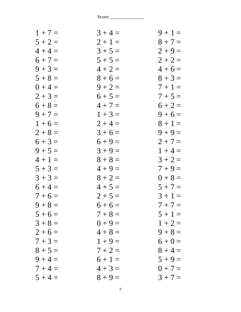| $1 + 7 =$ | $3 + 4 =$ | $9 + 1 =$ |
|-----------|-----------|-----------|
| $5 + 2 =$ | $2 + 1 =$ | $8 + 7 =$ |
| $4 + 4 =$ | $3 + 5 =$ | $2 + 9 =$ |
| $6 + 7 =$ | $5 + 5 =$ | $2 + 2 =$ |
| $9 + 3 =$ | $4 + 2 =$ | $4+6=$    |
| $5 + 8 =$ | $8 + 6 =$ | $8 + 3 =$ |
| $0 + 4 =$ | $9 + 2 =$ | $7 + 1 =$ |
| $2 + 3 =$ | $6 + 5 =$ | $7 + 5 =$ |
| $6 + 8 =$ | $4 + 7 =$ | $6 + 2 =$ |
| $9 + 7 =$ | $1 + 3 =$ | $9 + 6 =$ |
| $1+6=$    | $2 + 4 =$ | $8 + 1 =$ |
| $2 + 8 =$ | $3 + 6 =$ | $9 + 9 =$ |
| $6 + 3 =$ | $6 + 9 =$ | $2 + 7 =$ |
| $9 + 5 =$ | $3 + 9 =$ | $1 + 4 =$ |
| $4 + 1 =$ | $8 + 8 =$ | $3 + 2 =$ |
| $5 + 3 =$ | $4 + 9 =$ | $7 + 9 =$ |
| $3 + 3 =$ | $8 + 2 =$ | $0 + 8 =$ |
| $6 + 4 =$ | $4 + 5 =$ | $5 + 7 =$ |
| $7 + 6 =$ | $2 + 5 =$ | $3 + 1 =$ |
| $9 + 8 =$ | $6+6=$    | $7 + 7 =$ |
| $5 + 6 =$ | $7 + 8 =$ | $5 + 1 =$ |
| $3 + 8 =$ | $0 + 9 =$ | $1 + 2 =$ |
| $2+6=$    | $4 + 8 =$ | $9 + 8 =$ |
| $7 + 3 =$ | $1 + 9 =$ | $6 + 0 =$ |
| $8 + 5 =$ | $7 + 2 =$ | $8 + 4 =$ |
| $9 + 4 =$ | $6 + 1 =$ | $5 + 9 =$ |
| $7 + 4 =$ | $4 + 3 =$ | $0 + 7 =$ |
| $5 + 4 =$ | $8 + 9 =$ | $3 + 7 =$ |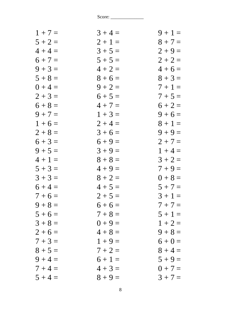| $1 + 7 =$ | $3 + 4 =$ | $9 + 1 =$ |
|-----------|-----------|-----------|
| $5 + 2 =$ | $2 + 1 =$ | $8 + 7 =$ |
| $4 + 4 =$ | $3 + 5 =$ | $2 + 9 =$ |
| $6 + 7 =$ | $5 + 5 =$ | $2 + 2 =$ |
| $9 + 3 =$ | $4 + 2 =$ | $4+6=$    |
| $5 + 8 =$ | $8 + 6 =$ | $8 + 3 =$ |
| $0 + 4 =$ | $9 + 2 =$ | $7 + 1 =$ |
| $2 + 3 =$ | $6 + 5 =$ | $7 + 5 =$ |
| $6 + 8 =$ | $4 + 7 =$ | $6 + 2 =$ |
| $9 + 7 =$ | $1 + 3 =$ | $9 + 6 =$ |
| $1 + 6 =$ | $2 + 4 =$ | $8 + 1 =$ |
| $2 + 8 =$ | $3+6=$    | $9 + 9 =$ |
| $6 + 3 =$ | $6 + 9 =$ | $2 + 7 =$ |
| $9 + 5 =$ | $3 + 9 =$ | $1 + 4 =$ |
| $4 + 1 =$ | $8 + 8 =$ | $3 + 2 =$ |
| $5 + 3 =$ | $4 + 9 =$ | $7 + 9 =$ |
| $3 + 3 =$ | $8 + 2 =$ | $0 + 8 =$ |
| $6 + 4 =$ | $4 + 5 =$ | $5 + 7 =$ |
| $7 + 6 =$ | $2 + 5 =$ | $3 + 1 =$ |
| $9 + 8 =$ | $6+6=$    | $7 + 7 =$ |
| $5 + 6 =$ | $7 + 8 =$ | $5 + 1 =$ |
| $3 + 8 =$ | $0 + 9 =$ | $1 + 2 =$ |
| $2 + 6 =$ | $4 + 8 =$ | $9 + 8 =$ |
| $7 + 3 =$ | $1 + 9 =$ | $6 + 0 =$ |
| $8 + 5 =$ | $7 + 2 =$ | $8 + 4 =$ |
| $9 + 4 =$ | $6 + 1 =$ | $5 + 9 =$ |
| $7 + 4 =$ | $4 + 3 =$ | $0 + 7 =$ |
| $5 + 4 =$ | $8 + 9 =$ | $3 + 7 =$ |
|           |           |           |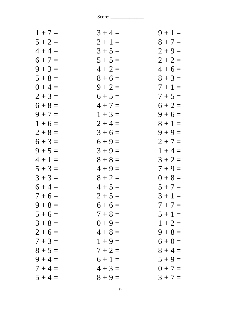| $3 + 4 =$ | $9 + 1 =$ |
|-----------|-----------|
| $2 + 1 =$ | $8 + 7 =$ |
| $3 + 5 =$ | $2 + 9 =$ |
| $5 + 5 =$ | $2 + 2 =$ |
| $4 + 2 =$ | $4 + 6 =$ |
| $8 + 6 =$ | $8 + 3 =$ |
| $9 + 2 =$ | $7+1=$    |
| $6 + 5 =$ | $7 + 5 =$ |
| $4 + 7 =$ | $6 + 2 =$ |
| $1 + 3 =$ | $9 + 6 =$ |
| $2 + 4 =$ | $8 + 1 =$ |
| $3 + 6 =$ | $9 + 9 =$ |
| $6 + 9 =$ | $2 + 7 =$ |
| $3 + 9 =$ | $1 + 4 =$ |
| $8 + 8 =$ | $3 + 2 =$ |
| $4 + 9 =$ | $7 + 9 =$ |
| $8 + 2 =$ | $0 + 8 =$ |
| $4 + 5 =$ | $5 + 7 =$ |
| $2 + 5 =$ | $3 + 1 =$ |
| $6 + 6 =$ | $7 + 7 =$ |
| $7 + 8 =$ | $5 + 1 =$ |
| $0 + 9 =$ | $1 + 2 =$ |
| $4 + 8 =$ | $9 + 8 =$ |
| $1 + 9 =$ | $6 + 0 =$ |
| $7 + 2 =$ | $8 + 4 =$ |
| $6 + 1 =$ | $5 + 9 =$ |
| $4 + 3 =$ | $0 + 7 =$ |
| $8 + 9 =$ | $3 + 7 =$ |
|           |           |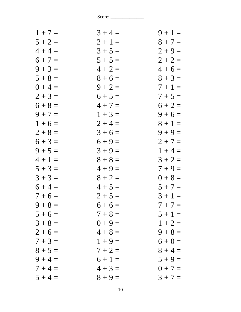| $1 + 7 =$ | $3 + 4 =$ | $9 + 1 =$ |
|-----------|-----------|-----------|
| $5 + 2 =$ | $2 + 1 =$ | $8 + 7 =$ |
| $4 + 4 =$ | $3 + 5 =$ | $2 + 9 =$ |
| $6 + 7 =$ | $5 + 5 =$ | $2 + 2 =$ |
| $9 + 3 =$ | $4 + 2 =$ | $4+6=$    |
| $5 + 8 =$ | $8 + 6 =$ | $8 + 3 =$ |
| $0 + 4 =$ | $9 + 2 =$ | $7 + 1 =$ |
| $2 + 3 =$ | $6 + 5 =$ | $7 + 5 =$ |
| $6 + 8 =$ | $4 + 7 =$ | $6 + 2 =$ |
| $9 + 7 =$ | $1 + 3 =$ | $9 + 6 =$ |
| $1 + 6 =$ | $2 + 4 =$ | $8 + 1 =$ |
| $2 + 8 =$ | $3+6=$    | $9 + 9 =$ |
| $6 + 3 =$ | $6 + 9 =$ | $2 + 7 =$ |
| $9 + 5 =$ | $3 + 9 =$ | $1 + 4 =$ |
| $4 + 1 =$ | $8 + 8 =$ | $3 + 2 =$ |
| $5 + 3 =$ | $4 + 9 =$ | $7 + 9 =$ |
| $3 + 3 =$ | $8 + 2 =$ | $0 + 8 =$ |
| $6 + 4 =$ | $4 + 5 =$ | $5 + 7 =$ |
| $7 + 6 =$ | $2 + 5 =$ | $3 + 1 =$ |
| $9 + 8 =$ | $6+6=$    | $7 + 7 =$ |
| $5 + 6 =$ | $7 + 8 =$ | $5 + 1 =$ |
| $3 + 8 =$ | $0 + 9 =$ | $1 + 2 =$ |
| $2 + 6 =$ | $4 + 8 =$ | $9 + 8 =$ |
| $7 + 3 =$ | $1 + 9 =$ | $6 + 0 =$ |
| $8 + 5 =$ | $7 + 2 =$ | $8 + 4 =$ |
| $9 + 4 =$ | $6 + 1 =$ | $5 + 9 =$ |
| $7 + 4 =$ | $4 + 3 =$ | $0 + 7 =$ |
| $5 + 4 =$ | $8 + 9 =$ | $3 + 7 =$ |
|           |           |           |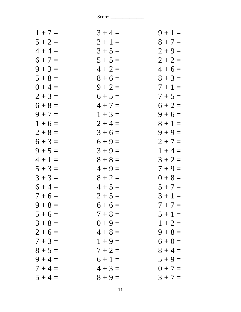| $1 + 7 =$ | $3 + 4 =$ | $9 + 1 =$ |
|-----------|-----------|-----------|
| $5 + 2 =$ | $2 + 1 =$ | $8 + 7 =$ |
| $4 + 4 =$ | $3 + 5 =$ | $2 + 9 =$ |
| $6 + 7 =$ | $5 + 5 =$ | $2 + 2 =$ |
| $9 + 3 =$ | $4 + 2 =$ | $4+6=$    |
| $5 + 8 =$ | $8 + 6 =$ | $8 + 3 =$ |
| $0 + 4 =$ | $9 + 2 =$ | $7 + 1 =$ |
| $2 + 3 =$ | $6 + 5 =$ | $7 + 5 =$ |
| $6 + 8 =$ | $4 + 7 =$ | $6 + 2 =$ |
| $9 + 7 =$ | $1 + 3 =$ | $9 + 6 =$ |
| $1 + 6 =$ | $2 + 4 =$ | $8 + 1 =$ |
| $2 + 8 =$ | $3 + 6 =$ | $9 + 9 =$ |
| $6 + 3 =$ | $6 + 9 =$ | $2 + 7 =$ |
| $9 + 5 =$ | $3 + 9 =$ | $1 + 4 =$ |
| $4 + 1 =$ | $8 + 8 =$ | $3 + 2 =$ |
| $5 + 3 =$ | $4 + 9 =$ | $7 + 9 =$ |
| $3 + 3 =$ | $8 + 2 =$ | $0 + 8 =$ |
| $6 + 4 =$ | $4 + 5 =$ | $5 + 7 =$ |
| $7 + 6 =$ | $2 + 5 =$ | $3 + 1 =$ |
| $9 + 8 =$ | $6+6=$    | $7 + 7 =$ |
| $5 + 6 =$ | $7 + 8 =$ | $5 + 1 =$ |
| $3 + 8 =$ | $0 + 9 =$ | $1 + 2 =$ |
| $2+6=$    | $4 + 8 =$ | $9 + 8 =$ |
| $7 + 3 =$ | $1 + 9 =$ | $6 + 0 =$ |
| $8 + 5 =$ | $7 + 2 =$ | $8 + 4 =$ |
| $9 + 4 =$ | $6 + 1 =$ | $5 + 9 =$ |
| $7 + 4 =$ | $4 + 3 =$ | $0 + 7 =$ |
| $5 + 4 =$ | $8 + 9 =$ | $3 + 7 =$ |
|           |           |           |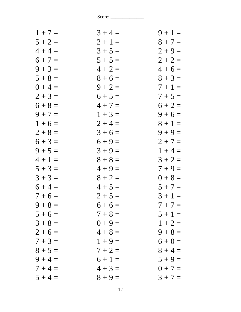| $1 + 7 =$ | $3 + 4 =$ | $9 + 1 =$ |
|-----------|-----------|-----------|
| $5 + 2 =$ | $2 + 1 =$ | $8 + 7 =$ |
| $4 + 4 =$ | $3 + 5 =$ | $2 + 9 =$ |
| $6 + 7 =$ | $5 + 5 =$ | $2 + 2 =$ |
| $9 + 3 =$ | $4 + 2 =$ | $4+6=$    |
| $5 + 8 =$ | $8 + 6 =$ | $8 + 3 =$ |
| $0 + 4 =$ | $9 + 2 =$ | $7+1=$    |
| $2 + 3 =$ | $6 + 5 =$ | $7 + 5 =$ |
| $6 + 8 =$ | $4 + 7 =$ | $6 + 2 =$ |
| $9 + 7 =$ | $1 + 3 =$ | $9 + 6 =$ |
| $1 + 6 =$ | $2 + 4 =$ | $8 + 1 =$ |
| $2 + 8 =$ | $3 + 6 =$ | $9 + 9 =$ |
| $6 + 3 =$ | $6 + 9 =$ | $2 + 7 =$ |
| $9 + 5 =$ | $3 + 9 =$ | $1 + 4 =$ |
| $4 + 1 =$ | $8 + 8 =$ | $3 + 2 =$ |
| $5 + 3 =$ | $4 + 9 =$ | $7 + 9 =$ |
| $3 + 3 =$ | $8 + 2 =$ | $0 + 8 =$ |
| $6 + 4 =$ | $4 + 5 =$ | $5 + 7 =$ |
| $7 + 6 =$ | $2 + 5 =$ | $3 + 1 =$ |
| $9 + 8 =$ | $6+6=$    | $7 + 7 =$ |
| $5 + 6 =$ | $7 + 8 =$ | $5 + 1 =$ |
| $3 + 8 =$ | $0 + 9 =$ | $1 + 2 =$ |
| $2+6=$    | $4 + 8 =$ | $9 + 8 =$ |
| $7 + 3 =$ | $1 + 9 =$ | $6 + 0 =$ |
| $8 + 5 =$ | $7 + 2 =$ | $8 + 4 =$ |
| $9 + 4 =$ | $6 + 1 =$ | $5 + 9 =$ |
| $7 + 4 =$ | $4 + 3 =$ | $0 + 7 =$ |
| $5 + 4 =$ | $8 + 9 =$ | $3 + 7 =$ |
|           |           |           |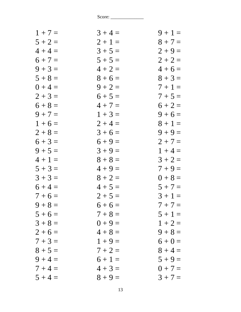| $1 + 7 =$ | $3 + 4 =$ | $9 + 1 =$ |
|-----------|-----------|-----------|
| $5 + 2 =$ | $2 + 1 =$ | $8 + 7 =$ |
| $4 + 4 =$ | $3 + 5 =$ | $2 + 9 =$ |
| $6 + 7 =$ | $5 + 5 =$ | $2 + 2 =$ |
| $9 + 3 =$ | $4 + 2 =$ | $4+6=$    |
| $5 + 8 =$ | $8 + 6 =$ | $8 + 3 =$ |
| $0 + 4 =$ | $9 + 2 =$ | $7+1=$    |
| $2 + 3 =$ | $6 + 5 =$ | $7 + 5 =$ |
| $6 + 8 =$ | $4 + 7 =$ | $6 + 2 =$ |
| $9 + 7 =$ | $1 + 3 =$ | $9 + 6 =$ |
| $1 + 6 =$ | $2 + 4 =$ | $8 + 1 =$ |
| $2 + 8 =$ | $3 + 6 =$ | $9 + 9 =$ |
| $6 + 3 =$ | $6 + 9 =$ | $2 + 7 =$ |
| $9 + 5 =$ | $3 + 9 =$ | $1 + 4 =$ |
| $4 + 1 =$ | $8 + 8 =$ | $3 + 2 =$ |
| $5 + 3 =$ | $4 + 9 =$ | $7 + 9 =$ |
| $3 + 3 =$ | $8 + 2 =$ | $0 + 8 =$ |
| $6 + 4 =$ | $4 + 5 =$ | $5 + 7 =$ |
| $7 + 6 =$ | $2 + 5 =$ | $3 + 1 =$ |
| $9 + 8 =$ | $6+6=$    | $7 + 7 =$ |
| $5 + 6 =$ | $7 + 8 =$ | $5 + 1 =$ |
| $3 + 8 =$ | $0 + 9 =$ | $1 + 2 =$ |
| $2+6=$    | $4 + 8 =$ | $9 + 8 =$ |
| $7 + 3 =$ | $1 + 9 =$ | $6 + 0 =$ |
| $8 + 5 =$ | $7 + 2 =$ | $8 + 4 =$ |
| $9 + 4 =$ | $6 + 1 =$ | $5 + 9 =$ |
| $7 + 4 =$ | $4 + 3 =$ | $0 + 7 =$ |
| $5 + 4 =$ | $8 + 9 =$ | $3 + 7 =$ |
|           |           |           |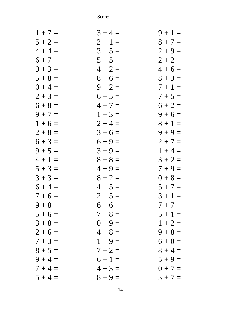| $1 + 7 =$ | $3 + 4 =$ | $9 + 1 =$ |
|-----------|-----------|-----------|
| $5 + 2 =$ | $2 + 1 =$ | $8 + 7 =$ |
| $4 + 4 =$ | $3 + 5 =$ | $2 + 9 =$ |
| $6 + 7 =$ | $5 + 5 =$ | $2 + 2 =$ |
| $9 + 3 =$ | $4 + 2 =$ | $4+6=$    |
| $5 + 8 =$ | $8 + 6 =$ | $8 + 3 =$ |
| $0 + 4 =$ | $9 + 2 =$ | $7 + 1 =$ |
| $2 + 3 =$ | $6 + 5 =$ | $7 + 5 =$ |
| $6 + 8 =$ | $4 + 7 =$ | $6 + 2 =$ |
| $9 + 7 =$ | $1 + 3 =$ | $9 + 6 =$ |
| $1 + 6 =$ | $2 + 4 =$ | $8 + 1 =$ |
| $2 + 8 =$ | $3 + 6 =$ | $9 + 9 =$ |
| $6 + 3 =$ | $6 + 9 =$ | $2 + 7 =$ |
| $9 + 5 =$ | $3 + 9 =$ | $1 + 4 =$ |
| $4 + 1 =$ | $8 + 8 =$ | $3 + 2 =$ |
| $5 + 3 =$ | $4 + 9 =$ | $7 + 9 =$ |
| $3 + 3 =$ | $8 + 2 =$ | $0 + 8 =$ |
| $6 + 4 =$ | $4 + 5 =$ | $5 + 7 =$ |
| $7 + 6 =$ | $2 + 5 =$ | $3 + 1 =$ |
| $9 + 8 =$ | $6+6=$    | $7 + 7 =$ |
| $5 + 6 =$ | $7 + 8 =$ | $5 + 1 =$ |
| $3 + 8 =$ | $0 + 9 =$ | $1 + 2 =$ |
| $2+6=$    | $4 + 8 =$ | $9 + 8 =$ |
| $7 + 3 =$ | $1 + 9 =$ | $6 + 0 =$ |
| $8 + 5 =$ | $7 + 2 =$ | $8 + 4 =$ |
| $9 + 4 =$ | $6 + 1 =$ | $5 + 9 =$ |
| $7 + 4 =$ | $4 + 3 =$ | $0 + 7 =$ |
| $5 + 4 =$ | $8 + 9 =$ | $3 + 7 =$ |
|           |           |           |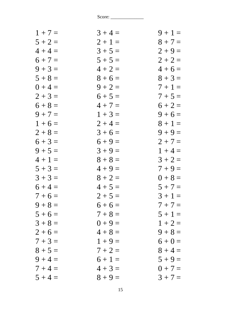| $1 + 7 =$ | $3 + 4 =$ | $9 + 1 =$ |
|-----------|-----------|-----------|
| $5 + 2 =$ | $2 + 1 =$ | $8 + 7 =$ |
| $4 + 4 =$ | $3 + 5 =$ | $2 + 9 =$ |
| $6 + 7 =$ | $5 + 5 =$ | $2 + 2 =$ |
| $9 + 3 =$ | $4 + 2 =$ | $4+6=$    |
| $5 + 8 =$ | $8 + 6 =$ | $8 + 3 =$ |
| $0 + 4 =$ | $9 + 2 =$ | $7 + 1 =$ |
| $2 + 3 =$ | $6 + 5 =$ | $7 + 5 =$ |
| $6 + 8 =$ | $4 + 7 =$ | $6 + 2 =$ |
| $9 + 7 =$ | $1 + 3 =$ | $9 + 6 =$ |
| $1 + 6 =$ | $2 + 4 =$ | $8 + 1 =$ |
| $2 + 8 =$ | $3 + 6 =$ | $9 + 9 =$ |
| $6 + 3 =$ | $6 + 9 =$ | $2 + 7 =$ |
| $9 + 5 =$ | $3 + 9 =$ | $1 + 4 =$ |
| $4 + 1 =$ | $8 + 8 =$ | $3 + 2 =$ |
| $5 + 3 =$ | $4 + 9 =$ | $7 + 9 =$ |
| $3 + 3 =$ | $8 + 2 =$ | $0 + 8 =$ |
| $6 + 4 =$ | $4 + 5 =$ | $5 + 7 =$ |
| $7 + 6 =$ | $2 + 5 =$ | $3 + 1 =$ |
| $9 + 8 =$ | $6+6=$    | $7 + 7 =$ |
| $5 + 6 =$ | $7 + 8 =$ | $5 + 1 =$ |
| $3 + 8 =$ | $0 + 9 =$ | $1 + 2 =$ |
| $2 + 6 =$ | $4 + 8 =$ | $9 + 8 =$ |
| $7 + 3 =$ | $1 + 9 =$ | $6 + 0 =$ |
| $8 + 5 =$ | $7 + 2 =$ | $8 + 4 =$ |
| $9 + 4 =$ | $6 + 1 =$ | $5 + 9 =$ |
| $7 + 4 =$ | $4 + 3 =$ | $0 + 7 =$ |
| $5 + 4 =$ | $8 + 9 =$ | $3 + 7 =$ |
|           |           |           |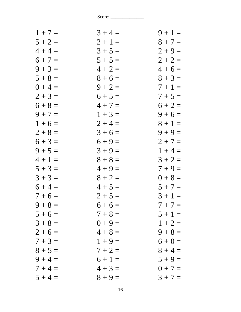| $1 + 7 =$ | $3 + 4 =$ | $9 + 1 =$ |
|-----------|-----------|-----------|
| $5 + 2 =$ | $2 + 1 =$ | $8 + 7 =$ |
| $4 + 4 =$ | $3 + 5 =$ | $2 + 9 =$ |
| $6 + 7 =$ | $5 + 5 =$ | $2 + 2 =$ |
| $9 + 3 =$ | $4 + 2 =$ | $4+6=$    |
| $5 + 8 =$ | $8 + 6 =$ | $8 + 3 =$ |
| $0 + 4 =$ | $9 + 2 =$ | $7+1=$    |
| $2 + 3 =$ | $6 + 5 =$ | $7 + 5 =$ |
| $6 + 8 =$ | $4 + 7 =$ | $6 + 2 =$ |
| $9 + 7 =$ | $1 + 3 =$ | $9 + 6 =$ |
| $1 + 6 =$ | $2 + 4 =$ | $8 + 1 =$ |
| $2 + 8 =$ | $3 + 6 =$ | $9 + 9 =$ |
| $6 + 3 =$ | $6 + 9 =$ | $2 + 7 =$ |
| $9 + 5 =$ | $3 + 9 =$ | $1 + 4 =$ |
| $4 + 1 =$ | $8 + 8 =$ | $3 + 2 =$ |
| $5 + 3 =$ | $4 + 9 =$ | $7 + 9 =$ |
| $3 + 3 =$ | $8 + 2 =$ | $0 + 8 =$ |
| $6 + 4 =$ | $4 + 5 =$ | $5 + 7 =$ |
| $7 + 6 =$ | $2 + 5 =$ | $3 + 1 =$ |
| $9 + 8 =$ | $6+6=$    | $7 + 7 =$ |
| $5 + 6 =$ | $7 + 8 =$ | $5 + 1 =$ |
| $3 + 8 =$ | $0 + 9 =$ | $1 + 2 =$ |
| $2 + 6 =$ | $4 + 8 =$ | $9 + 8 =$ |
| $7 + 3 =$ | $1 + 9 =$ | $6 + 0 =$ |
| $8 + 5 =$ | $7 + 2 =$ | $8 + 4 =$ |
| $9 + 4 =$ | $6 + 1 =$ | $5 + 9 =$ |
| $7 + 4 =$ | $4 + 3 =$ | $0 + 7 =$ |
| $5 + 4 =$ | $8 + 9 =$ | $3 + 7 =$ |
|           |           |           |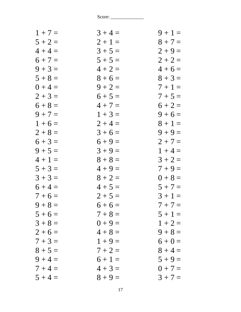| $1 + 7 =$ | $3 + 4 =$ | $9 + 1 =$ |
|-----------|-----------|-----------|
| $5 + 2 =$ | $2 + 1 =$ | $8 + 7 =$ |
| $4 + 4 =$ | $3 + 5 =$ | $2 + 9 =$ |
| $6 + 7 =$ | $5 + 5 =$ | $2 + 2 =$ |
| $9 + 3 =$ | $4 + 2 =$ | $4+6=$    |
| $5 + 8 =$ | $8 + 6 =$ | $8 + 3 =$ |
| $0 + 4 =$ | $9 + 2 =$ | $7 + 1 =$ |
| $2 + 3 =$ | $6 + 5 =$ | $7 + 5 =$ |
| $6 + 8 =$ | $4 + 7 =$ | $6 + 2 =$ |
| $9 + 7 =$ | $1 + 3 =$ | $9 + 6 =$ |
| $1 + 6 =$ | $2 + 4 =$ | $8 + 1 =$ |
| $2 + 8 =$ | $3 + 6 =$ | $9 + 9 =$ |
| $6 + 3 =$ | $6 + 9 =$ | $2 + 7 =$ |
| $9 + 5 =$ | $3 + 9 =$ | $1 + 4 =$ |
| $4 + 1 =$ | $8 + 8 =$ | $3 + 2 =$ |
| $5 + 3 =$ | $4 + 9 =$ | $7 + 9 =$ |
| $3 + 3 =$ | $8 + 2 =$ | $0 + 8 =$ |
| $6 + 4 =$ | $4 + 5 =$ | $5 + 7 =$ |
| $7 + 6 =$ | $2 + 5 =$ | $3 + 1 =$ |
| $9 + 8 =$ | $6+6=$    | $7 + 7 =$ |
| $5 + 6 =$ | $7 + 8 =$ | $5 + 1 =$ |
| $3 + 8 =$ | $0 + 9 =$ | $1 + 2 =$ |
| $2+6=$    | $4 + 8 =$ | $9 + 8 =$ |
| $7 + 3 =$ | $1 + 9 =$ | $6 + 0 =$ |
| $8 + 5 =$ | $7 + 2 =$ | $8 + 4 =$ |
| $9 + 4 =$ | $6 + 1 =$ | $5 + 9 =$ |
| $7 + 4 =$ | $4 + 3 =$ | $0 + 7 =$ |
| $5 + 4 =$ | $8 + 9 =$ | $3 + 7 =$ |
|           |           |           |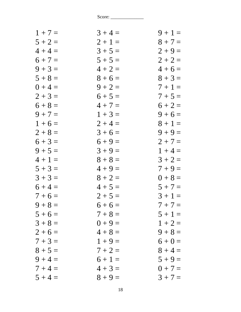| $1 + 7 =$ | $3 + 4 =$ | $9 + 1 =$ |
|-----------|-----------|-----------|
| $5 + 2 =$ | $2 + 1 =$ | $8 + 7 =$ |
| $4 + 4 =$ | $3 + 5 =$ | $2 + 9 =$ |
| $6 + 7 =$ | $5 + 5 =$ | $2 + 2 =$ |
| $9 + 3 =$ | $4 + 2 =$ | $4+6=$    |
| $5 + 8 =$ | $8 + 6 =$ | $8 + 3 =$ |
| $0 + 4 =$ | $9 + 2 =$ | $7 + 1 =$ |
| $2 + 3 =$ | $6 + 5 =$ | $7 + 5 =$ |
| $6 + 8 =$ | $4 + 7 =$ | $6 + 2 =$ |
| $9 + 7 =$ | $1 + 3 =$ | $9 + 6 =$ |
| $1 + 6 =$ | $2 + 4 =$ | $8 + 1 =$ |
| $2 + 8 =$ | $3 + 6 =$ | $9 + 9 =$ |
| $6 + 3 =$ | $6 + 9 =$ | $2 + 7 =$ |
| $9 + 5 =$ | $3 + 9 =$ | $1 + 4 =$ |
| $4 + 1 =$ | $8 + 8 =$ | $3 + 2 =$ |
| $5 + 3 =$ | $4 + 9 =$ | $7 + 9 =$ |
| $3 + 3 =$ | $8 + 2 =$ | $0 + 8 =$ |
| $6 + 4 =$ | $4 + 5 =$ | $5 + 7 =$ |
| $7 + 6 =$ | $2 + 5 =$ | $3 + 1 =$ |
| $9 + 8 =$ | $6+6=$    | $7 + 7 =$ |
| $5 + 6 =$ | $7 + 8 =$ | $5 + 1 =$ |
| $3 + 8 =$ | $0 + 9 =$ | $1 + 2 =$ |
| $2+6=$    | $4 + 8 =$ | $9 + 8 =$ |
| $7 + 3 =$ | $1 + 9 =$ | $6 + 0 =$ |
| $8 + 5 =$ | $7 + 2 =$ | $8 + 4 =$ |
| $9 + 4 =$ | $6 + 1 =$ | $5 + 9 =$ |
| $7 + 4 =$ | $4 + 3 =$ | $0 + 7 =$ |
| $5 + 4 =$ | $8 + 9 =$ | $3 + 7 =$ |
|           |           |           |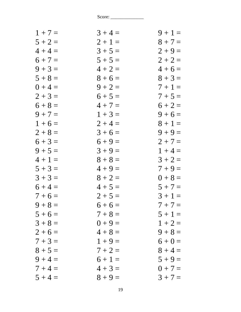| $1 + 7 =$ | $3 + 4 =$ | $9 + 1 =$ |
|-----------|-----------|-----------|
| $5 + 2 =$ | $2 + 1 =$ | $8 + 7 =$ |
| $4 + 4 =$ | $3 + 5 =$ | $2 + 9 =$ |
| $6 + 7 =$ | $5 + 5 =$ | $2 + 2 =$ |
| $9 + 3 =$ | $4 + 2 =$ | $4+6=$    |
| $5 + 8 =$ | $8 + 6 =$ | $8 + 3 =$ |
| $0 + 4 =$ | $9 + 2 =$ | $7 + 1 =$ |
| $2 + 3 =$ | $6 + 5 =$ | $7 + 5 =$ |
| $6 + 8 =$ | $4 + 7 =$ | $6 + 2 =$ |
| $9 + 7 =$ | $1 + 3 =$ | $9 + 6 =$ |
| $1 + 6 =$ | $2 + 4 =$ | $8 + 1 =$ |
| $2 + 8 =$ | $3 + 6 =$ | $9 + 9 =$ |
| $6 + 3 =$ | $6 + 9 =$ | $2 + 7 =$ |
| $9 + 5 =$ | $3 + 9 =$ | $1 + 4 =$ |
| $4 + 1 =$ | $8 + 8 =$ | $3 + 2 =$ |
| $5 + 3 =$ | $4 + 9 =$ | $7 + 9 =$ |
| $3 + 3 =$ | $8 + 2 =$ | $0 + 8 =$ |
| $6 + 4 =$ | $4 + 5 =$ | $5 + 7 =$ |
| $7 + 6 =$ | $2 + 5 =$ | $3 + 1 =$ |
| $9 + 8 =$ | $6+6=$    | $7 + 7 =$ |
| $5 + 6 =$ | $7 + 8 =$ | $5 + 1 =$ |
| $3 + 8 =$ | $0 + 9 =$ | $1 + 2 =$ |
| $2 + 6 =$ | $4 + 8 =$ | $9 + 8 =$ |
| $7 + 3 =$ | $1 + 9 =$ | $6 + 0 =$ |
| $8 + 5 =$ | $7 + 2 =$ | $8 + 4 =$ |
| $9 + 4 =$ | $6 + 1 =$ | $5 + 9 =$ |
| $7 + 4 =$ | $4 + 3 =$ | $0 + 7 =$ |
| $5 + 4 =$ | $8 + 9 =$ | $3 + 7 =$ |
|           |           |           |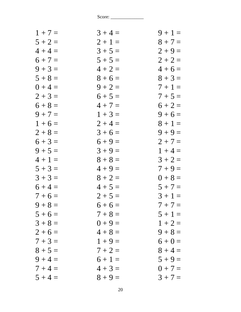| $1 + 7 =$ | $3 + 4 =$ | $9 + 1 =$ |
|-----------|-----------|-----------|
| $5 + 2 =$ | $2 + 1 =$ | $8 + 7 =$ |
| $4 + 4 =$ | $3 + 5 =$ | $2 + 9 =$ |
| $6 + 7 =$ | $5 + 5 =$ | $2 + 2 =$ |
| $9 + 3 =$ | $4 + 2 =$ | $4+6=$    |
| $5 + 8 =$ | $8 + 6 =$ | $8 + 3 =$ |
| $0 + 4 =$ | $9 + 2 =$ | $7 + 1 =$ |
| $2 + 3 =$ | $6 + 5 =$ | $7 + 5 =$ |
| $6 + 8 =$ | $4 + 7 =$ | $6 + 2 =$ |
| $9 + 7 =$ | $1 + 3 =$ | $9 + 6 =$ |
| $1 + 6 =$ | $2 + 4 =$ | $8 + 1 =$ |
| $2 + 8 =$ | $3 + 6 =$ | $9 + 9 =$ |
| $6 + 3 =$ | $6 + 9 =$ | $2 + 7 =$ |
| $9 + 5 =$ | $3 + 9 =$ | $1 + 4 =$ |
| $4 + 1 =$ | $8 + 8 =$ | $3 + 2 =$ |
| $5 + 3 =$ | $4 + 9 =$ | $7 + 9 =$ |
| $3 + 3 =$ | $8 + 2 =$ | $0 + 8 =$ |
| $6 + 4 =$ | $4 + 5 =$ | $5 + 7 =$ |
| $7 + 6 =$ | $2 + 5 =$ | $3 + 1 =$ |
| $9 + 8 =$ | $6+6=$    | $7 + 7 =$ |
| $5 + 6 =$ | $7 + 8 =$ | $5 + 1 =$ |
| $3 + 8 =$ | $0 + 9 =$ | $1 + 2 =$ |
| $2+6=$    | $4 + 8 =$ | $9 + 8 =$ |
| $7 + 3 =$ | $1 + 9 =$ | $6 + 0 =$ |
| $8 + 5 =$ | $7 + 2 =$ | $8 + 4 =$ |
| $9 + 4 =$ | $6 + 1 =$ | $5 + 9 =$ |
| $7 + 4 =$ | $4 + 3 =$ | $0 + 7 =$ |
| $5 + 4 =$ | $8 + 9 =$ | $3 + 7 =$ |
|           |           |           |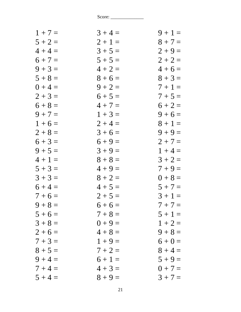| $1 + 7 =$ | $3 + 4 =$ | $9 + 1 =$ |
|-----------|-----------|-----------|
| $5 + 2 =$ | $2 + 1 =$ | $8 + 7 =$ |
| $4 + 4 =$ | $3 + 5 =$ | $2 + 9 =$ |
| $6 + 7 =$ | $5 + 5 =$ | $2 + 2 =$ |
| $9 + 3 =$ | $4 + 2 =$ | $4+6=$    |
| $5 + 8 =$ | $8 + 6 =$ | $8 + 3 =$ |
| $0 + 4 =$ | $9 + 2 =$ | $7 + 1 =$ |
| $2 + 3 =$ | $6 + 5 =$ | $7 + 5 =$ |
| $6 + 8 =$ | $4 + 7 =$ | $6 + 2 =$ |
| $9 + 7 =$ | $1 + 3 =$ | $9 + 6 =$ |
| $1 + 6 =$ | $2 + 4 =$ | $8 + 1 =$ |
| $2 + 8 =$ | $3 + 6 =$ | $9 + 9 =$ |
| $6 + 3 =$ | $6 + 9 =$ | $2 + 7 =$ |
| $9 + 5 =$ | $3 + 9 =$ | $1 + 4 =$ |
| $4 + 1 =$ | $8 + 8 =$ | $3 + 2 =$ |
| $5 + 3 =$ | $4 + 9 =$ | $7 + 9 =$ |
| $3 + 3 =$ | $8 + 2 =$ | $0 + 8 =$ |
| $6 + 4 =$ | $4 + 5 =$ | $5 + 7 =$ |
| $7 + 6 =$ | $2 + 5 =$ | $3 + 1 =$ |
| $9 + 8 =$ | $6+6=$    | $7 + 7 =$ |
| $5 + 6 =$ | $7 + 8 =$ | $5 + 1 =$ |
| $3 + 8 =$ | $0 + 9 =$ | $1 + 2 =$ |
| $2+6=$    | $4 + 8 =$ | $9 + 8 =$ |
| $7 + 3 =$ | $1 + 9 =$ | $6 + 0 =$ |
| $8 + 5 =$ | $7 + 2 =$ | $8 + 4 =$ |
| $9 + 4 =$ | $6 + 1 =$ | $5 + 9 =$ |
| $7 + 4 =$ | $4 + 3 =$ | $0 + 7 =$ |
| $5 + 4 =$ | $8 + 9 =$ | $3 + 7 =$ |
|           |           |           |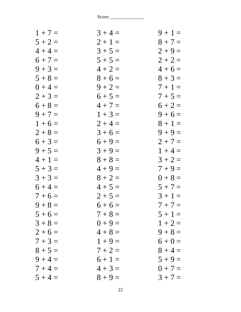| $1 + 7 =$ | $3 + 4 =$ | $9 + 1 =$ |
|-----------|-----------|-----------|
| $5 + 2 =$ | $2 + 1 =$ | $8 + 7 =$ |
| $4 + 4 =$ | $3 + 5 =$ | $2 + 9 =$ |
| $6 + 7 =$ | $5 + 5 =$ | $2 + 2 =$ |
| $9 + 3 =$ | $4 + 2 =$ | $4+6=$    |
| $5 + 8 =$ | $8 + 6 =$ | $8 + 3 =$ |
| $0 + 4 =$ | $9 + 2 =$ | $7 + 1 =$ |
| $2 + 3 =$ | $6 + 5 =$ | $7 + 5 =$ |
| $6 + 8 =$ | $4 + 7 =$ | $6 + 2 =$ |
| $9 + 7 =$ | $1 + 3 =$ | $9 + 6 =$ |
| $1 + 6 =$ | $2 + 4 =$ | $8 + 1 =$ |
| $2 + 8 =$ | $3 + 6 =$ | $9 + 9 =$ |
| $6 + 3 =$ | $6 + 9 =$ | $2 + 7 =$ |
| $9 + 5 =$ | $3 + 9 =$ | $1 + 4 =$ |
| $4 + 1 =$ | $8 + 8 =$ | $3 + 2 =$ |
| $5 + 3 =$ | $4 + 9 =$ | $7 + 9 =$ |
| $3 + 3 =$ | $8 + 2 =$ | $0 + 8 =$ |
| $6 + 4 =$ | $4 + 5 =$ | $5 + 7 =$ |
| $7 + 6 =$ | $2 + 5 =$ | $3 + 1 =$ |
| $9 + 8 =$ | $6+6=$    | $7 + 7 =$ |
| $5 + 6 =$ | $7 + 8 =$ | $5 + 1 =$ |
| $3 + 8 =$ | $0 + 9 =$ | $1 + 2 =$ |
| $2 + 6 =$ | $4 + 8 =$ | $9 + 8 =$ |
| $7 + 3 =$ | $1 + 9 =$ | $6 + 0 =$ |
| $8 + 5 =$ | $7 + 2 =$ | $8 + 4 =$ |
| $9 + 4 =$ | $6 + 1 =$ | $5 + 9 =$ |
| $7 + 4 =$ | $4 + 3 =$ | $0 + 7 =$ |
| $5 + 4 =$ | $8 + 9 =$ | $3 + 7 =$ |
|           |           |           |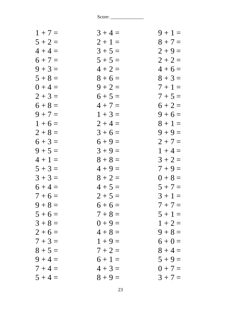| $1 + 7 =$ | $3 + 4 =$ | $9 + 1 =$ |
|-----------|-----------|-----------|
| $5 + 2 =$ | $2 + 1 =$ | $8 + 7 =$ |
| $4 + 4 =$ | $3 + 5 =$ | $2 + 9 =$ |
| $6 + 7 =$ | $5 + 5 =$ | $2 + 2 =$ |
| $9 + 3 =$ | $4 + 2 =$ | $4+6=$    |
| $5 + 8 =$ | $8 + 6 =$ | $8 + 3 =$ |
| $0 + 4 =$ | $9 + 2 =$ | $7 + 1 =$ |
| $2 + 3 =$ | $6 + 5 =$ | $7 + 5 =$ |
| $6 + 8 =$ | $4 + 7 =$ | $6 + 2 =$ |
| $9 + 7 =$ | $1 + 3 =$ | $9 + 6 =$ |
| $1 + 6 =$ | $2 + 4 =$ | $8 + 1 =$ |
| $2 + 8 =$ | $3 + 6 =$ | $9 + 9 =$ |
| $6 + 3 =$ | $6 + 9 =$ | $2 + 7 =$ |
| $9 + 5 =$ | $3 + 9 =$ | $1 + 4 =$ |
| $4 + 1 =$ | $8 + 8 =$ | $3 + 2 =$ |
| $5 + 3 =$ | $4 + 9 =$ | $7 + 9 =$ |
| $3 + 3 =$ | $8 + 2 =$ | $0 + 8 =$ |
| $6 + 4 =$ | $4 + 5 =$ | $5 + 7 =$ |
| $7 + 6 =$ | $2 + 5 =$ | $3 + 1 =$ |
| $9 + 8 =$ | $6+6=$    | $7 + 7 =$ |
| $5 + 6 =$ | $7 + 8 =$ | $5 + 1 =$ |
| $3 + 8 =$ | $0 + 9 =$ | $1 + 2 =$ |
| $2 + 6 =$ | $4 + 8 =$ | $9 + 8 =$ |
| $7 + 3 =$ | $1 + 9 =$ | $6 + 0 =$ |
| $8 + 5 =$ | $7 + 2 =$ | $8 + 4 =$ |
| $9 + 4 =$ | $6 + 1 =$ | $5 + 9 =$ |
| $7 + 4 =$ | $4 + 3 =$ | $0 + 7 =$ |
| $5 + 4 =$ | $8 + 9 =$ | $3 + 7 =$ |
|           |           |           |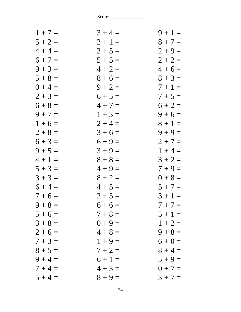| $1 + 7 =$ | $3 + 4 =$ | $9 + 1 =$ |
|-----------|-----------|-----------|
| $5 + 2 =$ | $2 + 1 =$ | $8 + 7 =$ |
| $4 + 4 =$ | $3 + 5 =$ | $2 + 9 =$ |
| $6 + 7 =$ | $5 + 5 =$ | $2 + 2 =$ |
| $9 + 3 =$ | $4 + 2 =$ | $4+6=$    |
| $5 + 8 =$ | $8 + 6 =$ | $8 + 3 =$ |
| $0 + 4 =$ | $9 + 2 =$ | $7 + 1 =$ |
| $2 + 3 =$ | $6 + 5 =$ | $7 + 5 =$ |
| $6 + 8 =$ | $4 + 7 =$ | $6 + 2 =$ |
| $9 + 7 =$ | $1 + 3 =$ | $9 + 6 =$ |
| $1 + 6 =$ | $2 + 4 =$ | $8 + 1 =$ |
| $2 + 8 =$ | $3 + 6 =$ | $9 + 9 =$ |
| $6 + 3 =$ | $6 + 9 =$ | $2 + 7 =$ |
| $9 + 5 =$ | $3 + 9 =$ | $1 + 4 =$ |
| $4 + 1 =$ | $8 + 8 =$ | $3 + 2 =$ |
| $5 + 3 =$ | $4 + 9 =$ | $7 + 9 =$ |
| $3 + 3 =$ | $8 + 2 =$ | $0 + 8 =$ |
| $6 + 4 =$ | $4 + 5 =$ | $5 + 7 =$ |
| $7 + 6 =$ | $2 + 5 =$ | $3 + 1 =$ |
| $9 + 8 =$ | $6+6=$    | $7 + 7 =$ |
| $5 + 6 =$ | $7 + 8 =$ | $5 + 1 =$ |
| $3 + 8 =$ | $0 + 9 =$ | $1 + 2 =$ |
| $2+6=$    | $4 + 8 =$ | $9 + 8 =$ |
| $7 + 3 =$ | $1 + 9 =$ | $6 + 0 =$ |
| $8 + 5 =$ | $7 + 2 =$ | $8 + 4 =$ |
| $9 + 4 =$ | $6 + 1 =$ | $5 + 9 =$ |
| $7 + 4 =$ | $4 + 3 =$ | $0 + 7 =$ |
| $5 + 4 =$ | $8 + 9 =$ | $3 + 7 =$ |
|           |           |           |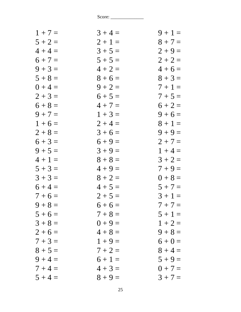| $1 + 7 =$ | $3 + 4 =$ | $9 + 1 =$ |
|-----------|-----------|-----------|
| $5 + 2 =$ | $2 + 1 =$ | $8 + 7 =$ |
| $4 + 4 =$ | $3 + 5 =$ | $2 + 9 =$ |
| $6 + 7 =$ | $5 + 5 =$ | $2 + 2 =$ |
| $9 + 3 =$ | $4 + 2 =$ | $4+6=$    |
| $5 + 8 =$ | $8 + 6 =$ | $8 + 3 =$ |
| $0 + 4 =$ | $9 + 2 =$ | $7 + 1 =$ |
| $2 + 3 =$ | $6 + 5 =$ | $7 + 5 =$ |
| $6 + 8 =$ | $4 + 7 =$ | $6 + 2 =$ |
| $9 + 7 =$ | $1 + 3 =$ | $9 + 6 =$ |
| $1 + 6 =$ | $2 + 4 =$ | $8 + 1 =$ |
| $2 + 8 =$ | $3 + 6 =$ | $9 + 9 =$ |
| $6 + 3 =$ | $6 + 9 =$ | $2 + 7 =$ |
| $9 + 5 =$ | $3 + 9 =$ | $1 + 4 =$ |
| $4 + 1 =$ | $8 + 8 =$ | $3 + 2 =$ |
| $5 + 3 =$ | $4 + 9 =$ | $7 + 9 =$ |
| $3 + 3 =$ | $8 + 2 =$ | $0 + 8 =$ |
| $6 + 4 =$ | $4 + 5 =$ | $5 + 7 =$ |
| $7 + 6 =$ | $2 + 5 =$ | $3 + 1 =$ |
| $9 + 8 =$ | $6+6=$    | $7 + 7 =$ |
| $5 + 6 =$ | $7 + 8 =$ | $5 + 1 =$ |
| $3 + 8 =$ | $0 + 9 =$ | $1 + 2 =$ |
| $2+6=$    | $4 + 8 =$ | $9 + 8 =$ |
| $7 + 3 =$ | $1 + 9 =$ | $6 + 0 =$ |
| $8 + 5 =$ | $7 + 2 =$ | $8 + 4 =$ |
| $9 + 4 =$ | $6 + 1 =$ | $5 + 9 =$ |
| $7 + 4 =$ | $4 + 3 =$ | $0 + 7 =$ |
| $5 + 4 =$ | $8 + 9 =$ | $3 + 7 =$ |
|           |           |           |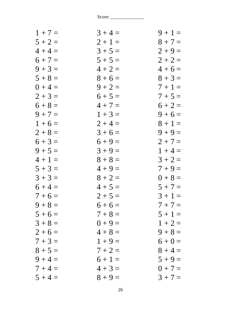| $1 + 7 =$ | $3 + 4 =$ | $9 + 1 =$ |
|-----------|-----------|-----------|
| $5 + 2 =$ | $2 + 1 =$ | $8 + 7 =$ |
| $4 + 4 =$ | $3 + 5 =$ | $2 + 9 =$ |
| $6 + 7 =$ | $5 + 5 =$ | $2 + 2 =$ |
| $9 + 3 =$ | $4 + 2 =$ | $4+6=$    |
| $5 + 8 =$ | $8 + 6 =$ | $8 + 3 =$ |
| $0 + 4 =$ | $9 + 2 =$ | $7+1=$    |
| $2 + 3 =$ | $6 + 5 =$ | $7 + 5 =$ |
| $6 + 8 =$ | $4 + 7 =$ | $6 + 2 =$ |
| $9 + 7 =$ | $1 + 3 =$ | $9 + 6 =$ |
| $1 + 6 =$ | $2 + 4 =$ | $8 + 1 =$ |
| $2 + 8 =$ | $3+6=$    | $9 + 9 =$ |
| $6 + 3 =$ | $6 + 9 =$ | $2 + 7 =$ |
| $9 + 5 =$ | $3 + 9 =$ | $1 + 4 =$ |
| $4 + 1 =$ | $8 + 8 =$ | $3 + 2 =$ |
| $5 + 3 =$ | $4 + 9 =$ | $7 + 9 =$ |
| $3 + 3 =$ | $8 + 2 =$ | $0 + 8 =$ |
| $6 + 4 =$ | $4 + 5 =$ | $5 + 7 =$ |
| $7 + 6 =$ | $2 + 5 =$ | $3 + 1 =$ |
| $9 + 8 =$ | $6+6=$    | $7 + 7 =$ |
| $5 + 6 =$ | $7 + 8 =$ | $5 + 1 =$ |
| $3 + 8 =$ | $0 + 9 =$ | $1 + 2 =$ |
| $2 + 6 =$ | $4 + 8 =$ | $9 + 8 =$ |
| $7 + 3 =$ | $1 + 9 =$ | $6 + 0 =$ |
| $8 + 5 =$ | $7 + 2 =$ | $8 + 4 =$ |
| $9 + 4 =$ | $6 + 1 =$ | $5 + 9 =$ |
| $7 + 4 =$ | $4 + 3 =$ | $0 + 7 =$ |
| $5 + 4 =$ | $8 + 9 =$ | $3 + 7 =$ |
|           |           |           |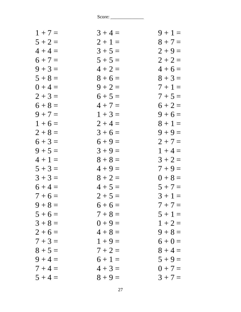| $1 + 7 =$ | $3 + 4 =$ | $9 + 1 =$ |
|-----------|-----------|-----------|
| $5 + 2 =$ | $2 + 1 =$ | $8 + 7 =$ |
| $4 + 4 =$ | $3 + 5 =$ | $2 + 9 =$ |
| $6 + 7 =$ | $5 + 5 =$ | $2 + 2 =$ |
| $9 + 3 =$ | $4 + 2 =$ | $4+6=$    |
| $5 + 8 =$ | $8 + 6 =$ | $8 + 3 =$ |
| $0 + 4 =$ | $9 + 2 =$ | $7 + 1 =$ |
| $2 + 3 =$ | $6 + 5 =$ | $7 + 5 =$ |
| $6 + 8 =$ | $4 + 7 =$ | $6 + 2 =$ |
| $9 + 7 =$ | $1 + 3 =$ | $9 + 6 =$ |
| $1 + 6 =$ | $2 + 4 =$ | $8 + 1 =$ |
| $2 + 8 =$ | $3 + 6 =$ | $9 + 9 =$ |
| $6 + 3 =$ | $6 + 9 =$ | $2 + 7 =$ |
| $9 + 5 =$ | $3 + 9 =$ | $1 + 4 =$ |
| $4 + 1 =$ | $8 + 8 =$ | $3 + 2 =$ |
| $5 + 3 =$ | $4 + 9 =$ | $7 + 9 =$ |
| $3 + 3 =$ | $8 + 2 =$ | $0 + 8 =$ |
| $6 + 4 =$ | $4 + 5 =$ | $5 + 7 =$ |
| $7 + 6 =$ | $2 + 5 =$ | $3 + 1 =$ |
| $9 + 8 =$ | $6+6=$    | $7 + 7 =$ |
| $5 + 6 =$ | $7 + 8 =$ | $5 + 1 =$ |
| $3 + 8 =$ | $0 + 9 =$ | $1 + 2 =$ |
| $2 + 6 =$ | $4 + 8 =$ | $9 + 8 =$ |
| $7 + 3 =$ | $1 + 9 =$ | $6 + 0 =$ |
| $8 + 5 =$ | $7 + 2 =$ | $8 + 4 =$ |
| $9 + 4 =$ | $6 + 1 =$ | $5 + 9 =$ |
| $7 + 4 =$ | $4 + 3 =$ | $0 + 7 =$ |
| $5 + 4 =$ | $8 + 9 =$ | $3 + 7 =$ |
|           |           |           |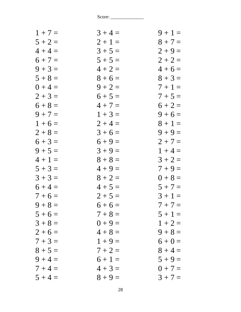| $1 + 7 =$ | $3 + 4 =$ | $9 + 1 =$ |
|-----------|-----------|-----------|
| $5 + 2 =$ | $2 + 1 =$ | $8 + 7 =$ |
| $4 + 4 =$ | $3 + 5 =$ | $2 + 9 =$ |
| $6 + 7 =$ | $5 + 5 =$ | $2 + 2 =$ |
| $9 + 3 =$ | $4 + 2 =$ | $4+6=$    |
| $5 + 8 =$ | $8 + 6 =$ | $8 + 3 =$ |
| $0 + 4 =$ | $9 + 2 =$ | $7 + 1 =$ |
| $2 + 3 =$ | $6 + 5 =$ | $7 + 5 =$ |
| $6 + 8 =$ | $4 + 7 =$ | $6 + 2 =$ |
| $9 + 7 =$ | $1 + 3 =$ | $9 + 6 =$ |
| $1 + 6 =$ | $2 + 4 =$ | $8 + 1 =$ |
| $2 + 8 =$ | $3 + 6 =$ | $9 + 9 =$ |
| $6 + 3 =$ | $6 + 9 =$ | $2 + 7 =$ |
| $9 + 5 =$ | $3 + 9 =$ | $1 + 4 =$ |
| $4 + 1 =$ | $8 + 8 =$ | $3 + 2 =$ |
| $5 + 3 =$ | $4 + 9 =$ | $7 + 9 =$ |
| $3 + 3 =$ | $8 + 2 =$ | $0 + 8 =$ |
| $6 + 4 =$ | $4 + 5 =$ | $5 + 7 =$ |
| $7 + 6 =$ | $2 + 5 =$ | $3 + 1 =$ |
| $9 + 8 =$ | $6+6=$    | $7 + 7 =$ |
| $5 + 6 =$ | $7 + 8 =$ | $5 + 1 =$ |
| $3 + 8 =$ | $0 + 9 =$ | $1 + 2 =$ |
| $2+6=$    | $4 + 8 =$ | $9 + 8 =$ |
| $7 + 3 =$ | $1 + 9 =$ | $6 + 0 =$ |
| $8 + 5 =$ | $7 + 2 =$ | $8 + 4 =$ |
| $9 + 4 =$ | $6 + 1 =$ | $5 + 9 =$ |
| $7 + 4 =$ | $4 + 3 =$ | $0 + 7 =$ |
| $5 + 4 =$ | $8 + 9 =$ | $3 + 7 =$ |
|           |           |           |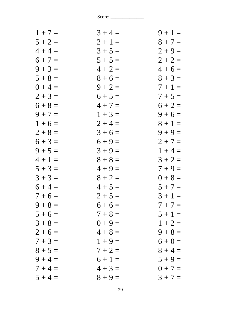| $1 + 7 =$ | $3 + 4 =$ | $9 + 1 =$ |
|-----------|-----------|-----------|
| $5 + 2 =$ | $2 + 1 =$ | $8 + 7 =$ |
| $4 + 4 =$ | $3 + 5 =$ | $2 + 9 =$ |
| $6 + 7 =$ | $5 + 5 =$ | $2 + 2 =$ |
| $9 + 3 =$ | $4 + 2 =$ | $4+6=$    |
| $5 + 8 =$ | $8 + 6 =$ | $8 + 3 =$ |
| $0 + 4 =$ | $9 + 2 =$ | $7 + 1 =$ |
| $2 + 3 =$ | $6 + 5 =$ | $7 + 5 =$ |
| $6 + 8 =$ | $4 + 7 =$ | $6 + 2 =$ |
| $9 + 7 =$ | $1 + 3 =$ | $9 + 6 =$ |
| $1 + 6 =$ | $2 + 4 =$ | $8 + 1 =$ |
| $2 + 8 =$ | $3 + 6 =$ | $9 + 9 =$ |
| $6 + 3 =$ | $6 + 9 =$ | $2 + 7 =$ |
| $9 + 5 =$ | $3 + 9 =$ | $1 + 4 =$ |
| $4 + 1 =$ | $8 + 8 =$ | $3 + 2 =$ |
| $5 + 3 =$ | $4 + 9 =$ | $7 + 9 =$ |
| $3 + 3 =$ | $8 + 2 =$ | $0 + 8 =$ |
| $6 + 4 =$ | $4 + 5 =$ | $5 + 7 =$ |
| $7 + 6 =$ | $2 + 5 =$ | $3 + 1 =$ |
| $9 + 8 =$ | $6+6=$    | $7 + 7 =$ |
| $5 + 6 =$ | $7 + 8 =$ | $5 + 1 =$ |
| $3 + 8 =$ | $0 + 9 =$ | $1 + 2 =$ |
| $2 + 6 =$ | $4 + 8 =$ | $9 + 8 =$ |
| $7 + 3 =$ | $1 + 9 =$ | $6 + 0 =$ |
| $8 + 5 =$ | $7 + 2 =$ | $8 + 4 =$ |
| $9 + 4 =$ | $6 + 1 =$ | $5 + 9 =$ |
| $7 + 4 =$ | $4 + 3 =$ | $0 + 7 =$ |
| $5 + 4 =$ | $8 + 9 =$ | $3 + 7 =$ |
|           |           |           |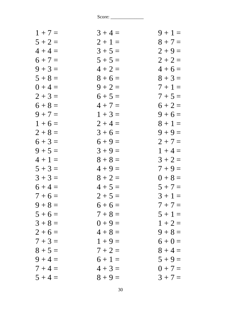| $1 + 7 =$ | $3 + 4 =$ | $9 + 1 =$ |
|-----------|-----------|-----------|
| $5 + 2 =$ | $2 + 1 =$ | $8 + 7 =$ |
| $4 + 4 =$ | $3 + 5 =$ | $2 + 9 =$ |
| $6 + 7 =$ | $5 + 5 =$ | $2 + 2 =$ |
| $9 + 3 =$ | $4 + 2 =$ | $4+6=$    |
| $5 + 8 =$ | $8 + 6 =$ | $8 + 3 =$ |
| $0 + 4 =$ | $9 + 2 =$ | $7+1=$    |
| $2 + 3 =$ | $6 + 5 =$ | $7 + 5 =$ |
| $6 + 8 =$ | $4 + 7 =$ | $6 + 2 =$ |
| $9 + 7 =$ | $1 + 3 =$ | $9 + 6 =$ |
| $1 + 6 =$ | $2 + 4 =$ | $8 + 1 =$ |
| $2 + 8 =$ | $3+6=$    | $9 + 9 =$ |
| $6 + 3 =$ | $6 + 9 =$ | $2 + 7 =$ |
| $9 + 5 =$ | $3 + 9 =$ | $1 + 4 =$ |
| $4 + 1 =$ | $8 + 8 =$ | $3 + 2 =$ |
| $5 + 3 =$ | $4 + 9 =$ | $7 + 9 =$ |
| $3 + 3 =$ | $8 + 2 =$ | $0 + 8 =$ |
| $6 + 4 =$ | $4 + 5 =$ | $5 + 7 =$ |
| $7 + 6 =$ | $2 + 5 =$ | $3 + 1 =$ |
| $9 + 8 =$ | $6+6=$    | $7 + 7 =$ |
| $5 + 6 =$ | $7 + 8 =$ | $5 + 1 =$ |
| $3 + 8 =$ | $0 + 9 =$ | $1 + 2 =$ |
| $2 + 6 =$ | $4 + 8 =$ | $9 + 8 =$ |
| $7 + 3 =$ | $1 + 9 =$ | $6 + 0 =$ |
| $8 + 5 =$ | $7 + 2 =$ | $8 + 4 =$ |
| $9 + 4 =$ | $6 + 1 =$ | $5 + 9 =$ |
| $7 + 4 =$ | $4 + 3 =$ | $0 + 7 =$ |
| $5 + 4 =$ | $8 + 9 =$ | $3 + 7 =$ |
|           |           |           |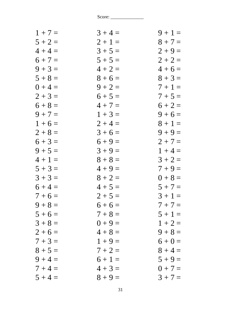| $1 + 7 =$ | $3 + 4 =$ | $9 + 1 =$ |
|-----------|-----------|-----------|
| $5 + 2 =$ | $2 + 1 =$ | $8 + 7 =$ |
| $4 + 4 =$ | $3 + 5 =$ | $2 + 9 =$ |
| $6 + 7 =$ | $5 + 5 =$ | $2 + 2 =$ |
| $9 + 3 =$ | $4 + 2 =$ | $4 + 6 =$ |
| $5 + 8 =$ | $8 + 6 =$ | $8 + 3 =$ |
| $0 + 4 =$ | $9 + 2 =$ | $7 + 1 =$ |
| $2 + 3 =$ | $6 + 5 =$ | $7 + 5 =$ |
| $6 + 8 =$ | $4 + 7 =$ | $6 + 2 =$ |
| $9 + 7 =$ | $1 + 3 =$ | $9 + 6 =$ |
| $1 + 6 =$ | $2 + 4 =$ | $8 + 1 =$ |
| $2 + 8 =$ | $3 + 6 =$ | $9 + 9 =$ |
| $6 + 3 =$ | $6 + 9 =$ | $2 + 7 =$ |
| $9 + 5 =$ | $3 + 9 =$ | $1 + 4 =$ |
| $4 + 1 =$ | $8 + 8 =$ | $3 + 2 =$ |
| $5 + 3 =$ | $4 + 9 =$ | $7 + 9 =$ |
| $3 + 3 =$ | $8 + 2 =$ | $0 + 8 =$ |
| $6 + 4 =$ | $4 + 5 =$ | $5 + 7 =$ |
| $7 + 6 =$ | $2 + 5 =$ | $3 + 1 =$ |
| $9 + 8 =$ | $6+6=$    | $7 + 7 =$ |
| $5 + 6 =$ | $7 + 8 =$ | $5 + 1 =$ |
| $3 + 8 =$ | $0 + 9 =$ | $1 + 2 =$ |
| $2+6=$    | $4 + 8 =$ | $9 + 8 =$ |
| $7 + 3 =$ | $1 + 9 =$ | $6 + 0 =$ |
| $8 + 5 =$ | $7 + 2 =$ | $8 + 4 =$ |
| $9 + 4 =$ | $6 + 1 =$ | $5 + 9 =$ |
| $7 + 4 =$ | $4 + 3 =$ | $0 + 7 =$ |
| $5 + 4 =$ | $8 + 9 =$ | $3 + 7 =$ |
|           |           |           |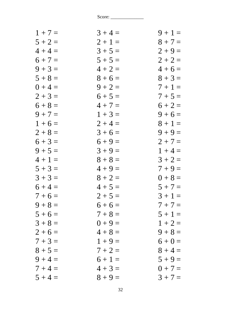| $1 + 7 =$ | $3 + 4 =$ | $9 + 1 =$ |
|-----------|-----------|-----------|
| $5 + 2 =$ | $2 + 1 =$ | $8 + 7 =$ |
| $4 + 4 =$ | $3 + 5 =$ | $2 + 9 =$ |
| $6 + 7 =$ | $5 + 5 =$ | $2 + 2 =$ |
| $9 + 3 =$ | $4 + 2 =$ | $4 + 6 =$ |
| $5 + 8 =$ | $8 + 6 =$ | $8 + 3 =$ |
| $0 + 4 =$ | $9 + 2 =$ | $7+1=$    |
| $2 + 3 =$ | $6 + 5 =$ | $7 + 5 =$ |
| $6 + 8 =$ | $4 + 7 =$ | $6 + 2 =$ |
| $9 + 7 =$ | $1 + 3 =$ | $9 + 6 =$ |
| $1+6=$    | $2 + 4 =$ | $8 + 1 =$ |
| $2 + 8 =$ | $3 + 6 =$ | $9 + 9 =$ |
| $6 + 3 =$ | $6 + 9 =$ | $2 + 7 =$ |
| $9 + 5 =$ | $3 + 9 =$ | $1 + 4 =$ |
| $4 + 1 =$ | $8 + 8 =$ | $3 + 2 =$ |
| $5 + 3 =$ | $4 + 9 =$ | $7 + 9 =$ |
| $3 + 3 =$ | $8 + 2 =$ | $0 + 8 =$ |
| $6 + 4 =$ | $4 + 5 =$ | $5 + 7 =$ |
| $7 + 6 =$ | $2 + 5 =$ | $3 + 1 =$ |
| $9 + 8 =$ | $6+6=$    | $7 + 7 =$ |
| $5 + 6 =$ | $7 + 8 =$ | $5 + 1 =$ |
| $3 + 8 =$ | $0 + 9 =$ | $1 + 2 =$ |
| $2 + 6 =$ | $4 + 8 =$ | $9 + 8 =$ |
| $7 + 3 =$ | $1 + 9 =$ | $6 + 0 =$ |
| $8 + 5 =$ | $7 + 2 =$ | $8 + 4 =$ |
| $9 + 4 =$ | $6 + 1 =$ | $5 + 9 =$ |
| $7 + 4 =$ | $4 + 3 =$ | $0 + 7 =$ |
| $5 + 4 =$ | $8 + 9 =$ | $3 + 7 =$ |
|           |           |           |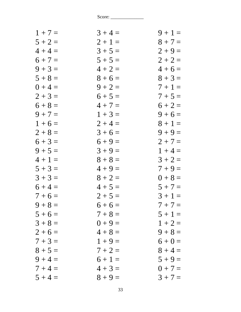| $1 + 7 =$ | $3 + 4 =$ | $9 + 1 =$ |
|-----------|-----------|-----------|
| $5 + 2 =$ | $2 + 1 =$ | $8 + 7 =$ |
| $4 + 4 =$ | $3 + 5 =$ | $2 + 9 =$ |
| $6 + 7 =$ | $5 + 5 =$ | $2 + 2 =$ |
| $9 + 3 =$ | $4 + 2 =$ | $4 + 6 =$ |
| $5 + 8 =$ | $8 + 6 =$ | $8 + 3 =$ |
| $0 + 4 =$ | $9 + 2 =$ | $7 + 1 =$ |
| $2 + 3 =$ | $6 + 5 =$ | $7 + 5 =$ |
| $6 + 8 =$ | $4 + 7 =$ | $6 + 2 =$ |
| $9 + 7 =$ | $1 + 3 =$ | $9 + 6 =$ |
| $1 + 6 =$ | $2 + 4 =$ | $8 + 1 =$ |
| $2 + 8 =$ | $3 + 6 =$ | $9 + 9 =$ |
| $6 + 3 =$ | $6 + 9 =$ | $2 + 7 =$ |
| $9 + 5 =$ | $3 + 9 =$ | $1 + 4 =$ |
| $4 + 1 =$ | $8 + 8 =$ | $3 + 2 =$ |
| $5 + 3 =$ | $4 + 9 =$ | $7 + 9 =$ |
| $3 + 3 =$ | $8 + 2 =$ | $0 + 8 =$ |
| $6 + 4 =$ | $4 + 5 =$ | $5 + 7 =$ |
| $7 + 6 =$ | $2 + 5 =$ | $3 + 1 =$ |
| $9 + 8 =$ | $6 + 6 =$ | $7 + 7 =$ |
| $5 + 6 =$ | $7 + 8 =$ | $5 + 1 =$ |
| $3 + 8 =$ | $0 + 9 =$ | $1 + 2 =$ |
| $2 + 6 =$ | $4 + 8 =$ | $9 + 8 =$ |
| $7 + 3 =$ | $1 + 9 =$ | $6 + 0 =$ |
| $8 + 5 =$ | $7 + 2 =$ | $8 + 4 =$ |
| $9 + 4 =$ | $6 + 1 =$ | $5 + 9 =$ |
| $7 + 4 =$ | $4 + 3 =$ | $0 + 7 =$ |
| $5 + 4 =$ | $8 + 9 =$ | $3 + 7 =$ |
|           |           |           |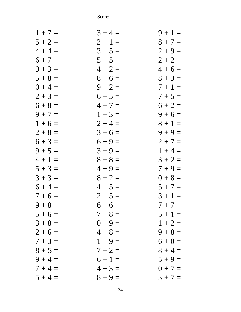| $1 + 7 =$ | $3 + 4 =$ | $9 + 1 =$ |
|-----------|-----------|-----------|
| $5 + 2 =$ | $2 + 1 =$ | $8 + 7 =$ |
| $4 + 4 =$ | $3 + 5 =$ | $2 + 9 =$ |
| $6 + 7 =$ | $5 + 5 =$ | $2 + 2 =$ |
| $9 + 3 =$ | $4 + 2 =$ | $4+6=$    |
| $5 + 8 =$ | $8 + 6 =$ | $8 + 3 =$ |
| $0 + 4 =$ | $9 + 2 =$ | $7 + 1 =$ |
| $2 + 3 =$ | $6 + 5 =$ | $7 + 5 =$ |
| $6 + 8 =$ | $4 + 7 =$ | $6 + 2 =$ |
| $9 + 7 =$ | $1 + 3 =$ | $9 + 6 =$ |
| $1 + 6 =$ | $2 + 4 =$ | $8 + 1 =$ |
| $2 + 8 =$ | $3 + 6 =$ | $9 + 9 =$ |
| $6 + 3 =$ | $6 + 9 =$ | $2 + 7 =$ |
| $9 + 5 =$ | $3 + 9 =$ | $1 + 4 =$ |
| $4 + 1 =$ | $8 + 8 =$ | $3 + 2 =$ |
| $5 + 3 =$ | $4 + 9 =$ | $7 + 9 =$ |
| $3 + 3 =$ | $8 + 2 =$ | $0 + 8 =$ |
| $6 + 4 =$ | $4 + 5 =$ | $5 + 7 =$ |
| $7 + 6 =$ | $2 + 5 =$ | $3 + 1 =$ |
| $9 + 8 =$ | $6+6=$    | $7 + 7 =$ |
| $5 + 6 =$ | $7 + 8 =$ | $5 + 1 =$ |
| $3 + 8 =$ | $0 + 9 =$ | $1 + 2 =$ |
| $2 + 6 =$ | $4 + 8 =$ | $9 + 8 =$ |
| $7 + 3 =$ | $1 + 9 =$ | $6 + 0 =$ |
| $8 + 5 =$ | $7 + 2 =$ | $8 + 4 =$ |
| $9 + 4 =$ | $6 + 1 =$ | $5 + 9 =$ |
| $7 + 4 =$ | $4 + 3 =$ | $0 + 7 =$ |
| $5 + 4 =$ | $8 + 9 =$ | $3 + 7 =$ |
|           |           |           |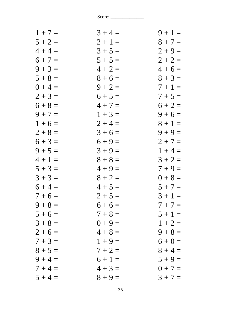| $1 + 7 =$ | $3 + 4 =$ | $9 + 1 =$ |
|-----------|-----------|-----------|
| $5 + 2 =$ | $2 + 1 =$ | $8 + 7 =$ |
| $4 + 4 =$ | $3 + 5 =$ | $2 + 9 =$ |
| $6 + 7 =$ | $5 + 5 =$ | $2 + 2 =$ |
| $9 + 3 =$ | $4 + 2 =$ | $4+6=$    |
| $5 + 8 =$ | $8 + 6 =$ | $8 + 3 =$ |
| $0 + 4 =$ | $9 + 2 =$ | $7 + 1 =$ |
| $2 + 3 =$ | $6 + 5 =$ | $7 + 5 =$ |
| $6 + 8 =$ | $4 + 7 =$ | $6 + 2 =$ |
| $9 + 7 =$ | $1 + 3 =$ | $9 + 6 =$ |
| $1 + 6 =$ | $2 + 4 =$ | $8 + 1 =$ |
| $2 + 8 =$ | $3 + 6 =$ | $9 + 9 =$ |
| $6 + 3 =$ | $6 + 9 =$ | $2 + 7 =$ |
| $9 + 5 =$ | $3 + 9 =$ | $1 + 4 =$ |
| $4 + 1 =$ | $8 + 8 =$ | $3 + 2 =$ |
| $5 + 3 =$ | $4 + 9 =$ | $7 + 9 =$ |
| $3 + 3 =$ | $8 + 2 =$ | $0 + 8 =$ |
| $6 + 4 =$ | $4 + 5 =$ | $5 + 7 =$ |
| $7 + 6 =$ | $2 + 5 =$ | $3 + 1 =$ |
| $9 + 8 =$ | $6+6=$    | $7 + 7 =$ |
| $5 + 6 =$ | $7 + 8 =$ | $5 + 1 =$ |
| $3 + 8 =$ | $0 + 9 =$ | $1 + 2 =$ |
| $2+6=$    | $4 + 8 =$ | $9 + 8 =$ |
| $7 + 3 =$ | $1 + 9 =$ | $6 + 0 =$ |
| $8 + 5 =$ | $7 + 2 =$ | $8 + 4 =$ |
| $9 + 4 =$ | $6 + 1 =$ | $5 + 9 =$ |
| $7 + 4 =$ | $4 + 3 =$ | $0 + 7 =$ |
| $5 + 4 =$ | $8 + 9 =$ | $3 + 7 =$ |
|           |           |           |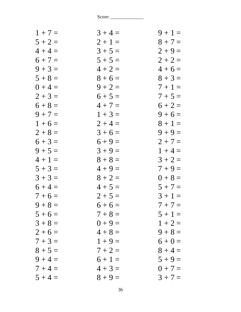| $1 + 7 =$ | $3 + 4 =$ | $9 + 1 =$ |
|-----------|-----------|-----------|
| $5 + 2 =$ | $2 + 1 =$ | $8 + 7 =$ |
| $4 + 4 =$ | $3 + 5 =$ | $2 + 9 =$ |
| $6 + 7 =$ | $5 + 5 =$ | $2 + 2 =$ |
| $9 + 3 =$ | $4 + 2 =$ | $4+6=$    |
| $5 + 8 =$ | $8 + 6 =$ | $8 + 3 =$ |
| $0 + 4 =$ | $9 + 2 =$ | $7 + 1 =$ |
| $2 + 3 =$ | $6 + 5 =$ | $7 + 5 =$ |
| $6 + 8 =$ | $4 + 7 =$ | $6 + 2 =$ |
| $9 + 7 =$ | $1 + 3 =$ | $9 + 6 =$ |
| $1 + 6 =$ | $2 + 4 =$ | $8 + 1 =$ |
| $2 + 8 =$ | $3+6=$    | $9 + 9 =$ |
| $6 + 3 =$ | $6 + 9 =$ | $2 + 7 =$ |
| $9 + 5 =$ | $3 + 9 =$ | $1 + 4 =$ |
| $4 + 1 =$ | $8 + 8 =$ | $3 + 2 =$ |
| $5 + 3 =$ | $4 + 9 =$ | $7 + 9 =$ |
| $3 + 3 =$ | $8 + 2 =$ | $0 + 8 =$ |
| $6 + 4 =$ | $4 + 5 =$ | $5 + 7 =$ |
| $7 + 6 =$ | $2 + 5 =$ | $3 + 1 =$ |
| $9 + 8 =$ | $6+6=$    | $7 + 7 =$ |
| $5 + 6 =$ | $7 + 8 =$ | $5 + 1 =$ |
| $3 + 8 =$ | $0 + 9 =$ | $1 + 2 =$ |
| $2 + 6 =$ | $4 + 8 =$ | $9 + 8 =$ |
| $7 + 3 =$ | $1 + 9 =$ | $6 + 0 =$ |
| $8 + 5 =$ | $7 + 2 =$ | $8 + 4 =$ |
| $9 + 4 =$ | $6 + 1 =$ | $5 + 9 =$ |
| $7 + 4 =$ | $4 + 3 =$ | $0 + 7 =$ |
| $5 + 4 =$ | $8 + 9 =$ | $3 + 7 =$ |
|           |           |           |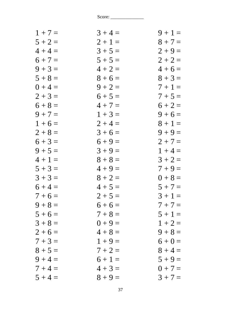| $1 + 7 =$ | $3 + 4 =$ | $9 + 1 =$ |
|-----------|-----------|-----------|
| $5 + 2 =$ | $2 + 1 =$ | $8 + 7 =$ |
| $4 + 4 =$ | $3 + 5 =$ | $2 + 9 =$ |
| $6 + 7 =$ | $5 + 5 =$ | $2 + 2 =$ |
| $9 + 3 =$ | $4 + 2 =$ | $4+6=$    |
| $5 + 8 =$ | $8 + 6 =$ | $8 + 3 =$ |
| $0 + 4 =$ | $9 + 2 =$ | $7 + 1 =$ |
| $2 + 3 =$ | $6 + 5 =$ | $7 + 5 =$ |
| $6 + 8 =$ | $4 + 7 =$ | $6 + 2 =$ |
| $9 + 7 =$ | $1 + 3 =$ | $9 + 6 =$ |
| $1 + 6 =$ | $2 + 4 =$ | $8 + 1 =$ |
| $2 + 8 =$ | $3 + 6 =$ | $9 + 9 =$ |
| $6 + 3 =$ | $6 + 9 =$ | $2 + 7 =$ |
| $9 + 5 =$ | $3 + 9 =$ | $1 + 4 =$ |
| $4 + 1 =$ | $8 + 8 =$ | $3 + 2 =$ |
| $5 + 3 =$ | $4 + 9 =$ | $7 + 9 =$ |
| $3 + 3 =$ | $8 + 2 =$ | $0 + 8 =$ |
| $6 + 4 =$ | $4 + 5 =$ | $5 + 7 =$ |
| $7 + 6 =$ | $2 + 5 =$ | $3 + 1 =$ |
| $9 + 8 =$ | $6+6=$    | $7 + 7 =$ |
| $5 + 6 =$ | $7 + 8 =$ | $5 + 1 =$ |
| $3 + 8 =$ | $0 + 9 =$ | $1 + 2 =$ |
| $2 + 6 =$ | $4 + 8 =$ | $9 + 8 =$ |
| $7 + 3 =$ | $1 + 9 =$ | $6 + 0 =$ |
| $8 + 5 =$ | $7 + 2 =$ | $8 + 4 =$ |
| $9 + 4 =$ | $6 + 1 =$ | $5 + 9 =$ |
| $7 + 4 =$ | $4 + 3 =$ | $0 + 7 =$ |
| $5 + 4 =$ | $8 + 9 =$ | $3 + 7 =$ |
|           |           |           |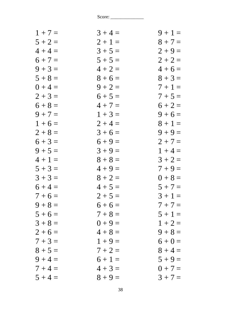| $1 + 7 =$ | $3 + 4 =$ | $9 + 1 =$ |
|-----------|-----------|-----------|
| $5 + 2 =$ | $2 + 1 =$ | $8 + 7 =$ |
| $4 + 4 =$ | $3 + 5 =$ | $2 + 9 =$ |
| $6 + 7 =$ | $5 + 5 =$ | $2 + 2 =$ |
| $9 + 3 =$ | $4 + 2 =$ | $4+6=$    |
| $5 + 8 =$ | $8 + 6 =$ | $8 + 3 =$ |
| $0 + 4 =$ | $9 + 2 =$ | $7 + 1 =$ |
| $2 + 3 =$ | $6 + 5 =$ | $7 + 5 =$ |
| $6 + 8 =$ | $4 + 7 =$ | $6 + 2 =$ |
| $9 + 7 =$ | $1 + 3 =$ | $9 + 6 =$ |
| $1 + 6 =$ | $2 + 4 =$ | $8 + 1 =$ |
| $2 + 8 =$ | $3 + 6 =$ | $9 + 9 =$ |
| $6 + 3 =$ | $6 + 9 =$ | $2 + 7 =$ |
| $9 + 5 =$ | $3 + 9 =$ | $1 + 4 =$ |
| $4 + 1 =$ | $8 + 8 =$ | $3 + 2 =$ |
| $5 + 3 =$ | $4 + 9 =$ | $7 + 9 =$ |
| $3 + 3 =$ | $8 + 2 =$ | $0 + 8 =$ |
| $6 + 4 =$ | $4 + 5 =$ | $5 + 7 =$ |
| $7 + 6 =$ | $2 + 5 =$ | $3 + 1 =$ |
| $9 + 8 =$ | $6+6=$    | $7 + 7 =$ |
| $5 + 6 =$ | $7 + 8 =$ | $5 + 1 =$ |
| $3 + 8 =$ | $0 + 9 =$ | $1 + 2 =$ |
| $2+6=$    | $4 + 8 =$ | $9 + 8 =$ |
| $7 + 3 =$ | $1 + 9 =$ | $6 + 0 =$ |
| $8 + 5 =$ | $7 + 2 =$ | $8 + 4 =$ |
| $9 + 4 =$ | $6 + 1 =$ | $5 + 9 =$ |
| $7 + 4 =$ | $4 + 3 =$ | $0 + 7 =$ |
| $5 + 4 =$ | $8 + 9 =$ | $3 + 7 =$ |
|           |           |           |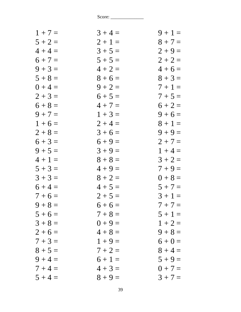| $1 + 7 =$ | $3 + 4 =$ | $9 + 1 =$ |
|-----------|-----------|-----------|
| $5 + 2 =$ | $2 + 1 =$ | $8 + 7 =$ |
| $4 + 4 =$ | $3 + 5 =$ | $2 + 9 =$ |
| $6 + 7 =$ | $5 + 5 =$ | $2 + 2 =$ |
| $9 + 3 =$ | $4 + 2 =$ | $4+6=$    |
| $5 + 8 =$ | $8 + 6 =$ | $8 + 3 =$ |
| $0 + 4 =$ | $9 + 2 =$ | $7 + 1 =$ |
| $2 + 3 =$ | $6 + 5 =$ | $7 + 5 =$ |
| $6 + 8 =$ | $4 + 7 =$ | $6 + 2 =$ |
| $9 + 7 =$ | $1 + 3 =$ | $9 + 6 =$ |
| $1 + 6 =$ | $2 + 4 =$ | $8 + 1 =$ |
| $2 + 8 =$ | $3 + 6 =$ | $9 + 9 =$ |
| $6 + 3 =$ | $6 + 9 =$ | $2 + 7 =$ |
| $9 + 5 =$ | $3 + 9 =$ | $1 + 4 =$ |
| $4 + 1 =$ | $8 + 8 =$ | $3 + 2 =$ |
| $5 + 3 =$ | $4 + 9 =$ | $7 + 9 =$ |
| $3 + 3 =$ | $8 + 2 =$ | $0 + 8 =$ |
| $6 + 4 =$ | $4 + 5 =$ | $5 + 7 =$ |
| $7 + 6 =$ | $2 + 5 =$ | $3 + 1 =$ |
| $9 + 8 =$ | $6+6=$    | $7 + 7 =$ |
| $5 + 6 =$ | $7 + 8 =$ | $5 + 1 =$ |
| $3 + 8 =$ | $0 + 9 =$ | $1 + 2 =$ |
| $2 + 6 =$ | $4 + 8 =$ | $9 + 8 =$ |
| $7 + 3 =$ | $1 + 9 =$ | $6 + 0 =$ |
| $8 + 5 =$ | $7 + 2 =$ | $8 + 4 =$ |
| $9 + 4 =$ | $6 + 1 =$ | $5 + 9 =$ |
| $7 + 4 =$ | $4 + 3 =$ | $0 + 7 =$ |
| $5 + 4 =$ | $8 + 9 =$ | $3 + 7 =$ |
|           |           |           |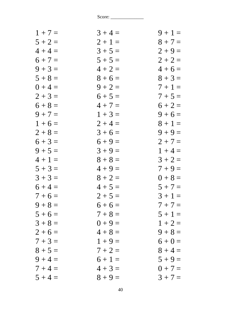| $1 + 7 =$ | $3 + 4 =$ | $9 + 1 =$ |
|-----------|-----------|-----------|
| $5 + 2 =$ | $2 + 1 =$ | $8 + 7 =$ |
| $4 + 4 =$ | $3 + 5 =$ | $2 + 9 =$ |
| $6 + 7 =$ | $5 + 5 =$ | $2 + 2 =$ |
| $9 + 3 =$ | $4 + 2 =$ | $4+6=$    |
| $5 + 8 =$ | $8 + 6 =$ | $8 + 3 =$ |
| $0 + 4 =$ | $9 + 2 =$ | $7 + 1 =$ |
| $2 + 3 =$ | $6 + 5 =$ | $7 + 5 =$ |
| $6 + 8 =$ | $4 + 7 =$ | $6 + 2 =$ |
| $9 + 7 =$ | $1 + 3 =$ | $9 + 6 =$ |
| $1 + 6 =$ | $2 + 4 =$ | $8 + 1 =$ |
| $2 + 8 =$ | $3+6=$    | $9 + 9 =$ |
| $6 + 3 =$ | $6 + 9 =$ | $2 + 7 =$ |
| $9 + 5 =$ | $3 + 9 =$ | $1 + 4 =$ |
| $4 + 1 =$ | $8 + 8 =$ | $3 + 2 =$ |
| $5 + 3 =$ | $4 + 9 =$ | $7 + 9 =$ |
| $3 + 3 =$ | $8 + 2 =$ | $0 + 8 =$ |
| $6 + 4 =$ | $4 + 5 =$ | $5 + 7 =$ |
| $7 + 6 =$ | $2 + 5 =$ | $3 + 1 =$ |
| $9 + 8 =$ | $6+6=$    | $7 + 7 =$ |
| $5 + 6 =$ | $7 + 8 =$ | $5 + 1 =$ |
| $3 + 8 =$ | $0 + 9 =$ | $1 + 2 =$ |
| $2 + 6 =$ | $4 + 8 =$ | $9 + 8 =$ |
| $7 + 3 =$ | $1 + 9 =$ | $6 + 0 =$ |
| $8 + 5 =$ | $7 + 2 =$ | $8 + 4 =$ |
| $9 + 4 =$ | $6 + 1 =$ | $5 + 9 =$ |
| $7 + 4 =$ | $4 + 3 =$ | $0 + 7 =$ |
| $5 + 4 =$ | $8 + 9 =$ | $3 + 7 =$ |
|           |           |           |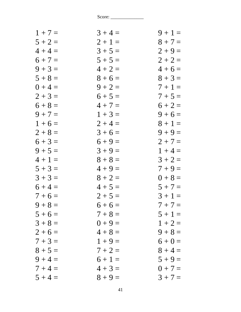| $1 + 7 =$ | $3 + 4 =$ | $9 + 1 =$ |
|-----------|-----------|-----------|
| $5 + 2 =$ | $2 + 1 =$ | $8 + 7 =$ |
| $4 + 4 =$ | $3 + 5 =$ | $2 + 9 =$ |
| $6 + 7 =$ | $5 + 5 =$ | $2 + 2 =$ |
| $9 + 3 =$ | $4 + 2 =$ | $4+6=$    |
| $5 + 8 =$ | $8 + 6 =$ | $8 + 3 =$ |
| $0 + 4 =$ | $9 + 2 =$ | $7+1=$    |
| $2 + 3 =$ | $6 + 5 =$ | $7 + 5 =$ |
| $6 + 8 =$ | $4 + 7 =$ | $6 + 2 =$ |
| $9 + 7 =$ | $1 + 3 =$ | $9 + 6 =$ |
| $1 + 6 =$ | $2 + 4 =$ | $8 + 1 =$ |
| $2 + 8 =$ | $3 + 6 =$ | $9 + 9 =$ |
| $6 + 3 =$ | $6 + 9 =$ | $2 + 7 =$ |
| $9 + 5 =$ | $3 + 9 =$ | $1 + 4 =$ |
| $4 + 1 =$ | $8 + 8 =$ | $3 + 2 =$ |
| $5 + 3 =$ | $4 + 9 =$ | $7 + 9 =$ |
| $3 + 3 =$ | $8 + 2 =$ | $0 + 8 =$ |
| $6 + 4 =$ | $4 + 5 =$ | $5 + 7 =$ |
| $7 + 6 =$ | $2 + 5 =$ | $3 + 1 =$ |
| $9 + 8 =$ | $6+6=$    | $7 + 7 =$ |
| $5 + 6 =$ | $7 + 8 =$ | $5 + 1 =$ |
| $3 + 8 =$ | $0 + 9 =$ | $1 + 2 =$ |
| $2+6=$    | $4 + 8 =$ | $9 + 8 =$ |
| $7 + 3 =$ | $1 + 9 =$ | $6 + 0 =$ |
| $8 + 5 =$ | $7 + 2 =$ | $8 + 4 =$ |
| $9 + 4 =$ | $6 + 1 =$ | $5 + 9 =$ |
| $7 + 4 =$ | $4 + 3 =$ | $0 + 7 =$ |
| $5 + 4 =$ | $8 + 9 =$ | $3 + 7 =$ |
|           |           |           |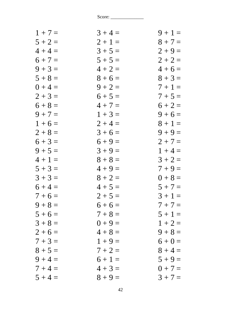| $1 + 7 =$ | $3 + 4 =$ | $9 + 1 =$ |
|-----------|-----------|-----------|
| $5 + 2 =$ | $2 + 1 =$ | $8 + 7 =$ |
| $4 + 4 =$ | $3 + 5 =$ | $2 + 9 =$ |
| $6 + 7 =$ | $5 + 5 =$ | $2 + 2 =$ |
| $9 + 3 =$ | $4 + 2 =$ | $4+6=$    |
| $5 + 8 =$ | $8 + 6 =$ | $8 + 3 =$ |
| $0 + 4 =$ | $9 + 2 =$ | $7+1=$    |
| $2 + 3 =$ | $6 + 5 =$ | $7 + 5 =$ |
| $6 + 8 =$ | $4 + 7 =$ | $6 + 2 =$ |
| $9 + 7 =$ | $1 + 3 =$ | $9 + 6 =$ |
| $1 + 6 =$ | $2 + 4 =$ | $8 + 1 =$ |
| $2 + 8 =$ | $3 + 6 =$ | $9 + 9 =$ |
| $6 + 3 =$ | $6 + 9 =$ | $2 + 7 =$ |
| $9 + 5 =$ | $3 + 9 =$ | $1 + 4 =$ |
| $4 + 1 =$ | $8 + 8 =$ | $3 + 2 =$ |
| $5 + 3 =$ | $4 + 9 =$ | $7 + 9 =$ |
| $3 + 3 =$ | $8 + 2 =$ | $0 + 8 =$ |
| $6 + 4 =$ | $4 + 5 =$ | $5 + 7 =$ |
| $7 + 6 =$ | $2 + 5 =$ | $3 + 1 =$ |
| $9 + 8 =$ | $6+6=$    | $7 + 7 =$ |
| $5 + 6 =$ | $7 + 8 =$ | $5 + 1 =$ |
| $3 + 8 =$ | $0 + 9 =$ | $1 + 2 =$ |
| $2+6=$    | $4 + 8 =$ | $9 + 8 =$ |
| $7 + 3 =$ | $1 + 9 =$ | $6 + 0 =$ |
| $8 + 5 =$ | $7 + 2 =$ | $8 + 4 =$ |
| $9 + 4 =$ | $6 + 1 =$ | $5 + 9 =$ |
| $7 + 4 =$ | $4 + 3 =$ | $0 + 7 =$ |
| $5 + 4 =$ | $8 + 9 =$ | $3 + 7 =$ |
|           |           |           |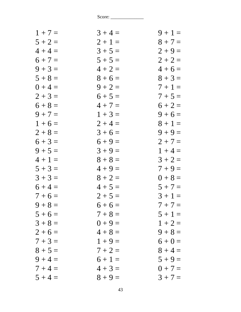| $1 + 7 =$ | $3 + 4 =$ | $9 + 1 =$ |
|-----------|-----------|-----------|
| $5 + 2 =$ | $2 + 1 =$ | $8 + 7 =$ |
| $4 + 4 =$ | $3 + 5 =$ | $2 + 9 =$ |
| $6 + 7 =$ | $5 + 5 =$ | $2 + 2 =$ |
| $9 + 3 =$ | $4 + 2 =$ | $4 + 6 =$ |
| $5 + 8 =$ | $8 + 6 =$ | $8 + 3 =$ |
| $0 + 4 =$ | $9 + 2 =$ | $7+1=$    |
| $2 + 3 =$ | $6 + 5 =$ | $7 + 5 =$ |
| $6 + 8 =$ | $4 + 7 =$ | $6 + 2 =$ |
| $9 + 7 =$ | $1 + 3 =$ | $9 + 6 =$ |
| $1 + 6 =$ | $2 + 4 =$ | $8 + 1 =$ |
| $2 + 8 =$ | $3 + 6 =$ | $9 + 9 =$ |
| $6 + 3 =$ | $6 + 9 =$ | $2 + 7 =$ |
| $9 + 5 =$ | $3 + 9 =$ | $1 + 4 =$ |
| $4 + 1 =$ | $8 + 8 =$ | $3 + 2 =$ |
| $5 + 3 =$ | $4 + 9 =$ | $7 + 9 =$ |
| $3 + 3 =$ | $8 + 2 =$ | $0 + 8 =$ |
| $6 + 4 =$ | $4 + 5 =$ | $5 + 7 =$ |
| $7 + 6 =$ | $2 + 5 =$ | $3 + 1 =$ |
| $9 + 8 =$ | $6+6=$    | $7 + 7 =$ |
| $5 + 6 =$ | $7 + 8 =$ | $5 + 1 =$ |
| $3 + 8 =$ | $0 + 9 =$ | $1 + 2 =$ |
| $2+6=$    | $4 + 8 =$ | $9 + 8 =$ |
| $7 + 3 =$ | $1 + 9 =$ | $6 + 0 =$ |
| $8 + 5 =$ | $7 + 2 =$ | $8 + 4 =$ |
| $9 + 4 =$ | $6 + 1 =$ | $5 + 9 =$ |
| $7 + 4 =$ | $4 + 3 =$ | $0 + 7 =$ |
| $5 + 4 =$ | $8 + 9 =$ | $3 + 7 =$ |
|           |           |           |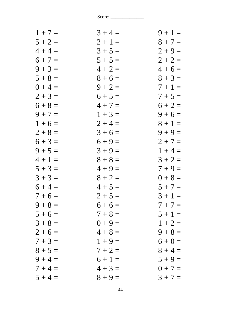| $1 + 7 =$ | $3 + 4 =$ | $9 + 1 =$ |
|-----------|-----------|-----------|
| $5 + 2 =$ | $2 + 1 =$ | $8 + 7 =$ |
| $4 + 4 =$ | $3 + 5 =$ | $2 + 9 =$ |
| $6 + 7 =$ | $5 + 5 =$ | $2 + 2 =$ |
| $9 + 3 =$ | $4 + 2 =$ | $4+6=$    |
| $5 + 8 =$ | $8 + 6 =$ | $8 + 3 =$ |
| $0 + 4 =$ | $9 + 2 =$ | $7 + 1 =$ |
| $2 + 3 =$ | $6 + 5 =$ | $7 + 5 =$ |
| $6 + 8 =$ | $4 + 7 =$ | $6 + 2 =$ |
| $9 + 7 =$ | $1 + 3 =$ | $9 + 6 =$ |
| $1 + 6 =$ | $2 + 4 =$ | $8 + 1 =$ |
| $2 + 8 =$ | $3 + 6 =$ | $9 + 9 =$ |
| $6 + 3 =$ | $6 + 9 =$ | $2 + 7 =$ |
| $9 + 5 =$ | $3 + 9 =$ | $1 + 4 =$ |
| $4 + 1 =$ | $8 + 8 =$ | $3 + 2 =$ |
| $5 + 3 =$ | $4 + 9 =$ | $7 + 9 =$ |
| $3 + 3 =$ | $8 + 2 =$ | $0 + 8 =$ |
| $6 + 4 =$ | $4 + 5 =$ | $5 + 7 =$ |
| $7 + 6 =$ | $2 + 5 =$ | $3 + 1 =$ |
| $9 + 8 =$ | $6+6=$    | $7 + 7 =$ |
| $5 + 6 =$ | $7 + 8 =$ | $5 + 1 =$ |
| $3 + 8 =$ | $0 + 9 =$ | $1 + 2 =$ |
| $2 + 6 =$ | $4 + 8 =$ | $9 + 8 =$ |
| $7 + 3 =$ | $1 + 9 =$ | $6 + 0 =$ |
| $8 + 5 =$ | $7 + 2 =$ | $8 + 4 =$ |
| $9 + 4 =$ | $6 + 1 =$ | $5 + 9 =$ |
| $7 + 4 =$ | $4 + 3 =$ | $0 + 7 =$ |
| $5 + 4 =$ | $8 + 9 =$ | $3 + 7 =$ |
|           |           |           |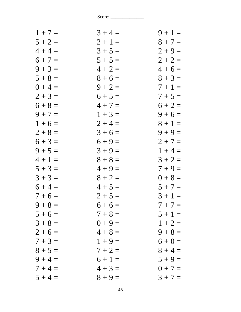| $1 + 7 =$ | $3 + 4 =$ | $9 + 1 =$ |
|-----------|-----------|-----------|
| $5 + 2 =$ | $2 + 1 =$ | $8 + 7 =$ |
| $4 + 4 =$ | $3 + 5 =$ | $2 + 9 =$ |
| $6 + 7 =$ | $5 + 5 =$ | $2 + 2 =$ |
| $9 + 3 =$ | $4 + 2 =$ | $4+6=$    |
| $5 + 8 =$ | $8 + 6 =$ | $8 + 3 =$ |
| $0 + 4 =$ | $9 + 2 =$ | $7+1=$    |
| $2 + 3 =$ | $6 + 5 =$ | $7 + 5 =$ |
| $6 + 8 =$ | $4 + 7 =$ | $6 + 2 =$ |
| $9 + 7 =$ | $1 + 3 =$ | $9 + 6 =$ |
| $1 + 6 =$ | $2 + 4 =$ | $8 + 1 =$ |
| $2 + 8 =$ | $3 + 6 =$ | $9 + 9 =$ |
| $6 + 3 =$ | $6 + 9 =$ | $2 + 7 =$ |
| $9 + 5 =$ | $3 + 9 =$ | $1 + 4 =$ |
| $4 + 1 =$ | $8 + 8 =$ | $3 + 2 =$ |
| $5 + 3 =$ | $4 + 9 =$ | $7 + 9 =$ |
| $3 + 3 =$ | $8 + 2 =$ | $0 + 8 =$ |
| $6 + 4 =$ | $4 + 5 =$ | $5 + 7 =$ |
| $7 + 6 =$ | $2 + 5 =$ | $3 + 1 =$ |
| $9 + 8 =$ | $6 + 6 =$ | $7 + 7 =$ |
| $5 + 6 =$ | $7 + 8 =$ | $5 + 1 =$ |
| $3 + 8 =$ | $0 + 9 =$ | $1 + 2 =$ |
| $2 + 6 =$ | $4 + 8 =$ | $9 + 8 =$ |
| $7 + 3 =$ | $1 + 9 =$ | $6 + 0 =$ |
| $8 + 5 =$ | $7 + 2 =$ | $8 + 4 =$ |
| $9 + 4 =$ | $6 + 1 =$ | $5 + 9 =$ |
| $7 + 4 =$ | $4 + 3 =$ | $0 + 7 =$ |
| $5 + 4 =$ | $8 + 9 =$ | $3 + 7 =$ |
|           |           |           |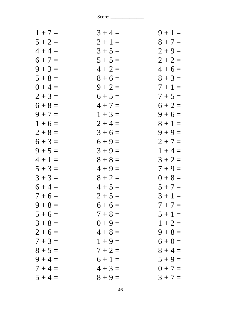| $1 + 7 =$ | $3 + 4 =$ | $9 + 1 =$ |
|-----------|-----------|-----------|
| $5 + 2 =$ | $2 + 1 =$ | $8 + 7 =$ |
| $4 + 4 =$ | $3 + 5 =$ | $2 + 9 =$ |
| $6 + 7 =$ | $5 + 5 =$ | $2 + 2 =$ |
| $9 + 3 =$ | $4 + 2 =$ | $4+6=$    |
| $5 + 8 =$ | $8 + 6 =$ | $8 + 3 =$ |
| $0 + 4 =$ | $9 + 2 =$ | $7 + 1 =$ |
| $2 + 3 =$ | $6 + 5 =$ | $7 + 5 =$ |
| $6 + 8 =$ | $4 + 7 =$ | $6 + 2 =$ |
| $9 + 7 =$ | $1 + 3 =$ | $9 + 6 =$ |
| $1 + 6 =$ | $2 + 4 =$ | $8 + 1 =$ |
| $2 + 8 =$ | $3 + 6 =$ | $9 + 9 =$ |
| $6 + 3 =$ | $6 + 9 =$ | $2 + 7 =$ |
| $9 + 5 =$ | $3 + 9 =$ | $1 + 4 =$ |
| $4 + 1 =$ | $8 + 8 =$ | $3 + 2 =$ |
| $5 + 3 =$ | $4 + 9 =$ | $7 + 9 =$ |
| $3 + 3 =$ | $8 + 2 =$ | $0 + 8 =$ |
| $6 + 4 =$ | $4 + 5 =$ | $5 + 7 =$ |
| $7 + 6 =$ | $2 + 5 =$ | $3 + 1 =$ |
| $9 + 8 =$ | $6+6=$    | $7 + 7 =$ |
| $5 + 6 =$ | $7 + 8 =$ | $5 + 1 =$ |
| $3 + 8 =$ | $0 + 9 =$ | $1 + 2 =$ |
| $2 + 6 =$ | $4 + 8 =$ | $9 + 8 =$ |
| $7 + 3 =$ | $1 + 9 =$ | $6 + 0 =$ |
| $8 + 5 =$ | $7 + 2 =$ | $8 + 4 =$ |
| $9 + 4 =$ | $6 + 1 =$ | $5 + 9 =$ |
| $7 + 4 =$ | $4 + 3 =$ | $0 + 7 =$ |
| $5 + 4 =$ | $8 + 9 =$ | $3 + 7 =$ |
|           |           |           |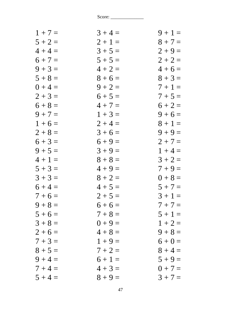| $1 + 7 =$ | $3 + 4 =$ | $9 + 1 =$ |
|-----------|-----------|-----------|
| $5 + 2 =$ | $2 + 1 =$ | $8 + 7 =$ |
| $4 + 4 =$ | $3 + 5 =$ | $2 + 9 =$ |
| $6 + 7 =$ | $5 + 5 =$ | $2 + 2 =$ |
| $9 + 3 =$ | $4 + 2 =$ | $4+6=$    |
| $5 + 8 =$ | $8 + 6 =$ | $8 + 3 =$ |
| $0 + 4 =$ | $9 + 2 =$ | $7 + 1 =$ |
| $2 + 3 =$ | $6 + 5 =$ | $7 + 5 =$ |
| $6 + 8 =$ | $4 + 7 =$ | $6 + 2 =$ |
| $9 + 7 =$ | $1 + 3 =$ | $9 + 6 =$ |
| $1 + 6 =$ | $2 + 4 =$ | $8 + 1 =$ |
| $2 + 8 =$ | $3 + 6 =$ | $9 + 9 =$ |
| $6 + 3 =$ | $6 + 9 =$ | $2 + 7 =$ |
| $9 + 5 =$ | $3 + 9 =$ | $1 + 4 =$ |
| $4 + 1 =$ | $8 + 8 =$ | $3 + 2 =$ |
| $5 + 3 =$ | $4 + 9 =$ | $7 + 9 =$ |
| $3 + 3 =$ | $8 + 2 =$ | $0 + 8 =$ |
| $6 + 4 =$ | $4 + 5 =$ | $5 + 7 =$ |
| $7 + 6 =$ | $2 + 5 =$ | $3 + 1 =$ |
| $9 + 8 =$ | $6+6=$    | $7 + 7 =$ |
| $5 + 6 =$ | $7 + 8 =$ | $5 + 1 =$ |
| $3 + 8 =$ | $0 + 9 =$ | $1 + 2 =$ |
| $2 + 6 =$ | $4 + 8 =$ | $9 + 8 =$ |
| $7 + 3 =$ | $1 + 9 =$ | $6 + 0 =$ |
| $8 + 5 =$ | $7 + 2 =$ | $8 + 4 =$ |
| $9 + 4 =$ | $6 + 1 =$ | $5 + 9 =$ |
| $7 + 4 =$ | $4 + 3 =$ | $0 + 7 =$ |
| $5 + 4 =$ | $8 + 9 =$ | $3 + 7 =$ |
|           |           |           |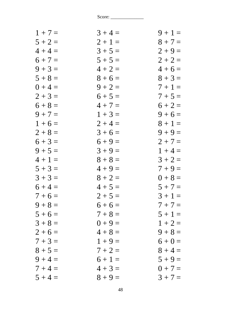| $1 + 7 =$ | $3 + 4 =$ | $9 + 1 =$ |
|-----------|-----------|-----------|
| $5 + 2 =$ | $2 + 1 =$ | $8 + 7 =$ |
| $4 + 4 =$ | $3 + 5 =$ | $2 + 9 =$ |
| $6 + 7 =$ | $5 + 5 =$ | $2 + 2 =$ |
| $9 + 3 =$ | $4 + 2 =$ | $4+6=$    |
| $5 + 8 =$ | $8 + 6 =$ | $8 + 3 =$ |
| $0 + 4 =$ | $9 + 2 =$ | $7 + 1 =$ |
| $2 + 3 =$ | $6 + 5 =$ | $7 + 5 =$ |
| $6 + 8 =$ | $4 + 7 =$ | $6 + 2 =$ |
| $9 + 7 =$ | $1 + 3 =$ | $9 + 6 =$ |
| $1 + 6 =$ | $2 + 4 =$ | $8 + 1 =$ |
| $2 + 8 =$ | $3 + 6 =$ | $9 + 9 =$ |
| $6 + 3 =$ | $6 + 9 =$ | $2 + 7 =$ |
| $9 + 5 =$ | $3 + 9 =$ | $1 + 4 =$ |
| $4 + 1 =$ | $8 + 8 =$ | $3 + 2 =$ |
| $5 + 3 =$ | $4 + 9 =$ | $7 + 9 =$ |
| $3 + 3 =$ | $8 + 2 =$ | $0 + 8 =$ |
| $6 + 4 =$ | $4 + 5 =$ | $5 + 7 =$ |
| $7 + 6 =$ | $2 + 5 =$ | $3 + 1 =$ |
| $9 + 8 =$ | $6+6=$    | $7 + 7 =$ |
| $5 + 6 =$ | $7 + 8 =$ | $5 + 1 =$ |
| $3 + 8 =$ | $0 + 9 =$ | $1 + 2 =$ |
| $2 + 6 =$ | $4 + 8 =$ | $9 + 8 =$ |
| $7 + 3 =$ | $1 + 9 =$ | $6 + 0 =$ |
| $8 + 5 =$ | $7 + 2 =$ | $8 + 4 =$ |
| $9 + 4 =$ | $6 + 1 =$ | $5 + 9 =$ |
| $7 + 4 =$ | $4 + 3 =$ | $0 + 7 =$ |
| $5 + 4 =$ | $8 + 9 =$ | $3 + 7 =$ |
|           |           |           |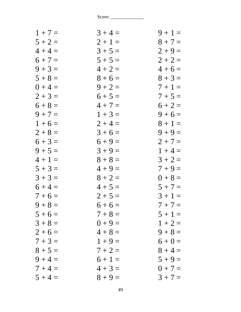| $1 + 7 =$ | $3 + 4 =$ | $9 + 1 =$ |
|-----------|-----------|-----------|
| $5 + 2 =$ | $2 + 1 =$ | $8 + 7 =$ |
| $4 + 4 =$ | $3 + 5 =$ | $2 + 9 =$ |
| $6 + 7 =$ | $5 + 5 =$ | $2 + 2 =$ |
| $9 + 3 =$ | $4 + 2 =$ | $4+6=$    |
| $5 + 8 =$ | $8 + 6 =$ | $8 + 3 =$ |
| $0 + 4 =$ | $9 + 2 =$ | $7 + 1 =$ |
| $2 + 3 =$ | $6 + 5 =$ | $7 + 5 =$ |
| $6 + 8 =$ | $4 + 7 =$ | $6 + 2 =$ |
| $9 + 7 =$ | $1 + 3 =$ | $9 + 6 =$ |
| $1 + 6 =$ | $2 + 4 =$ | $8 + 1 =$ |
| $2 + 8 =$ | $3 + 6 =$ | $9 + 9 =$ |
| $6 + 3 =$ | $6 + 9 =$ | $2 + 7 =$ |
| $9 + 5 =$ | $3 + 9 =$ | $1 + 4 =$ |
| $4 + 1 =$ | $8 + 8 =$ | $3 + 2 =$ |
| $5 + 3 =$ | $4 + 9 =$ | $7 + 9 =$ |
| $3 + 3 =$ | $8 + 2 =$ | $0 + 8 =$ |
| $6 + 4 =$ | $4 + 5 =$ | $5 + 7 =$ |
| $7 + 6 =$ | $2 + 5 =$ | $3 + 1 =$ |
| $9 + 8 =$ | $6+6=$    | $7 + 7 =$ |
| $5 + 6 =$ | $7 + 8 =$ | $5 + 1 =$ |
| $3 + 8 =$ | $0 + 9 =$ | $1 + 2 =$ |
| $2+6=$    | $4 + 8 =$ | $9 + 8 =$ |
| $7 + 3 =$ | $1 + 9 =$ | $6 + 0 =$ |
| $8 + 5 =$ | $7 + 2 =$ | $8 + 4 =$ |
| $9 + 4 =$ | $6 + 1 =$ | $5 + 9 =$ |
| $7 + 4 =$ | $4 + 3 =$ | $0 + 7 =$ |
| $5 + 4 =$ | $8 + 9 =$ | $3 + 7 =$ |
|           |           |           |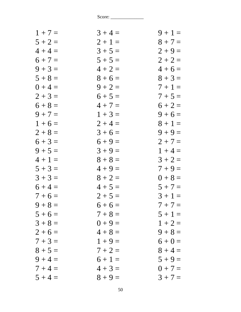| $1 + 7 =$ | $3 + 4 =$ | $9 + 1 =$ |
|-----------|-----------|-----------|
| $5 + 2 =$ | $2 + 1 =$ | $8 + 7 =$ |
| $4 + 4 =$ | $3 + 5 =$ | $2 + 9 =$ |
| $6 + 7 =$ | $5 + 5 =$ | $2 + 2 =$ |
| $9 + 3 =$ | $4 + 2 =$ | $4+6=$    |
| $5 + 8 =$ | $8 + 6 =$ | $8 + 3 =$ |
| $0 + 4 =$ | $9 + 2 =$ | $7 + 1 =$ |
| $2 + 3 =$ | $6 + 5 =$ | $7 + 5 =$ |
| $6 + 8 =$ | $4 + 7 =$ | $6 + 2 =$ |
| $9 + 7 =$ | $1 + 3 =$ | $9 + 6 =$ |
| $1 + 6 =$ | $2 + 4 =$ | $8 + 1 =$ |
| $2 + 8 =$ | $3 + 6 =$ | $9 + 9 =$ |
| $6 + 3 =$ | $6 + 9 =$ | $2 + 7 =$ |
| $9 + 5 =$ | $3 + 9 =$ | $1 + 4 =$ |
| $4 + 1 =$ | $8 + 8 =$ | $3 + 2 =$ |
| $5 + 3 =$ | $4 + 9 =$ | $7 + 9 =$ |
| $3 + 3 =$ | $8 + 2 =$ | $0 + 8 =$ |
| $6 + 4 =$ | $4 + 5 =$ | $5 + 7 =$ |
| $7 + 6 =$ | $2 + 5 =$ | $3 + 1 =$ |
| $9 + 8 =$ | $6+6=$    | $7 + 7 =$ |
| $5 + 6 =$ | $7 + 8 =$ | $5 + 1 =$ |
| $3 + 8 =$ | $0 + 9 =$ | $1 + 2 =$ |
| $2 + 6 =$ | $4 + 8 =$ | $9 + 8 =$ |
| $7 + 3 =$ | $1 + 9 =$ | $6 + 0 =$ |
| $8 + 5 =$ | $7 + 2 =$ | $8 + 4 =$ |
| $9 + 4 =$ | $6 + 1 =$ | $5 + 9 =$ |
| $7 + 4 =$ | $4 + 3 =$ | $0 + 7 =$ |
| $5 + 4 =$ | $8 + 9 =$ | $3 + 7 =$ |
|           |           |           |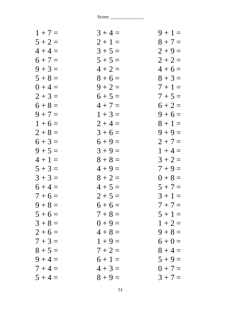| $1 + 7 =$ | $3 + 4 =$ | $9 + 1 =$ |
|-----------|-----------|-----------|
| $5 + 2 =$ | $2 + 1 =$ | $8 + 7 =$ |
| $4 + 4 =$ | $3 + 5 =$ | $2 + 9 =$ |
| $6 + 7 =$ | $5 + 5 =$ | $2 + 2 =$ |
| $9 + 3 =$ | $4 + 2 =$ | $4+6=$    |
| $5 + 8 =$ | $8 + 6 =$ | $8 + 3 =$ |
| $0 + 4 =$ | $9 + 2 =$ | $7+1=$    |
| $2 + 3 =$ | $6 + 5 =$ | $7 + 5 =$ |
| $6 + 8 =$ | $4 + 7 =$ | $6 + 2 =$ |
| $9 + 7 =$ | $1 + 3 =$ | $9 + 6 =$ |
| $1 + 6 =$ | $2 + 4 =$ | $8 + 1 =$ |
| $2 + 8 =$ | $3 + 6 =$ | $9 + 9 =$ |
| $6 + 3 =$ | $6 + 9 =$ | $2 + 7 =$ |
| $9 + 5 =$ | $3 + 9 =$ | $1 + 4 =$ |
| $4 + 1 =$ | $8 + 8 =$ | $3 + 2 =$ |
| $5 + 3 =$ | $4 + 9 =$ | $7 + 9 =$ |
| $3 + 3 =$ | $8 + 2 =$ | $0 + 8 =$ |
| $6 + 4 =$ | $4 + 5 =$ | $5 + 7 =$ |
| $7 + 6 =$ | $2 + 5 =$ | $3 + 1 =$ |
| $9 + 8 =$ | $6+6=$    | $7 + 7 =$ |
| $5 + 6 =$ | $7 + 8 =$ | $5 + 1 =$ |
| $3 + 8 =$ | $0 + 9 =$ | $1 + 2 =$ |
| $2 + 6 =$ | $4 + 8 =$ | $9 + 8 =$ |
| $7 + 3 =$ | $1 + 9 =$ | $6 + 0 =$ |
| $8 + 5 =$ | $7 + 2 =$ | $8 + 4 =$ |
| $9 + 4 =$ | $6 + 1 =$ | $5 + 9 =$ |
| $7 + 4 =$ | $4 + 3 =$ | $0 + 7 =$ |
| $5 + 4 =$ | $8 + 9 =$ | $3 + 7 =$ |
|           |           |           |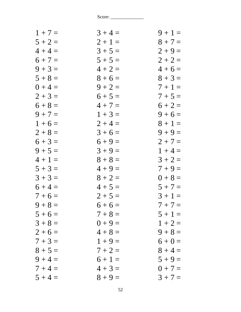| $1 + 7 =$ | $3 + 4 =$ | $9 + 1 =$ |
|-----------|-----------|-----------|
| $5 + 2 =$ | $2 + 1 =$ | $8 + 7 =$ |
| $4 + 4 =$ | $3 + 5 =$ | $2 + 9 =$ |
| $6 + 7 =$ | $5 + 5 =$ | $2 + 2 =$ |
| $9 + 3 =$ | $4 + 2 =$ | $4+6=$    |
| $5 + 8 =$ | $8 + 6 =$ | $8 + 3 =$ |
| $0 + 4 =$ | $9 + 2 =$ | $7 + 1 =$ |
| $2 + 3 =$ | $6 + 5 =$ | $7 + 5 =$ |
| $6 + 8 =$ | $4 + 7 =$ | $6 + 2 =$ |
| $9 + 7 =$ | $1 + 3 =$ | $9 + 6 =$ |
| $1 + 6 =$ | $2 + 4 =$ | $8 + 1 =$ |
| $2 + 8 =$ | $3 + 6 =$ | $9 + 9 =$ |
| $6 + 3 =$ | $6 + 9 =$ | $2 + 7 =$ |
| $9 + 5 =$ | $3 + 9 =$ | $1 + 4 =$ |
| $4 + 1 =$ | $8 + 8 =$ | $3 + 2 =$ |
| $5 + 3 =$ | $4 + 9 =$ | $7 + 9 =$ |
| $3 + 3 =$ | $8 + 2 =$ | $0 + 8 =$ |
| $6 + 4 =$ | $4 + 5 =$ | $5 + 7 =$ |
| $7 + 6 =$ | $2 + 5 =$ | $3 + 1 =$ |
| $9 + 8 =$ | $6 + 6 =$ | $7 + 7 =$ |
| $5 + 6 =$ | $7 + 8 =$ | $5 + 1 =$ |
| $3 + 8 =$ | $0 + 9 =$ | $1 + 2 =$ |
| $2 + 6 =$ | $4 + 8 =$ | $9 + 8 =$ |
| $7 + 3 =$ | $1 + 9 =$ | $6 + 0 =$ |
| $8 + 5 =$ | $7 + 2 =$ | $8 + 4 =$ |
| $9 + 4 =$ | $6 + 1 =$ | $5 + 9 =$ |
| $7 + 4 =$ | $4 + 3 =$ | $0 + 7 =$ |
| $5 + 4 =$ | $8 + 9 =$ | $3 + 7 =$ |
|           |           |           |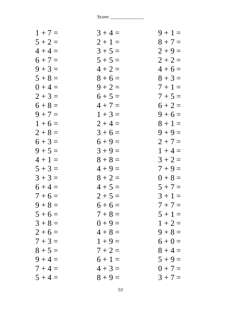| $1 + 7 =$ | $3 + 4 =$ | $9 + 1 =$ |
|-----------|-----------|-----------|
| $5 + 2 =$ | $2 + 1 =$ | $8 + 7 =$ |
| $4 + 4 =$ | $3 + 5 =$ | $2 + 9 =$ |
| $6 + 7 =$ | $5 + 5 =$ | $2 + 2 =$ |
| $9 + 3 =$ | $4 + 2 =$ | $4+6=$    |
| $5 + 8 =$ | $8 + 6 =$ | $8 + 3 =$ |
| $0 + 4 =$ | $9 + 2 =$ | $7+1=$    |
| $2 + 3 =$ | $6 + 5 =$ | $7 + 5 =$ |
| $6 + 8 =$ | $4 + 7 =$ | $6 + 2 =$ |
| $9 + 7 =$ | $1 + 3 =$ | $9 + 6 =$ |
| $1 + 6 =$ | $2 + 4 =$ | $8 + 1 =$ |
| $2 + 8 =$ | $3 + 6 =$ | $9 + 9 =$ |
| $6 + 3 =$ | $6 + 9 =$ | $2 + 7 =$ |
| $9 + 5 =$ | $3 + 9 =$ | $1 + 4 =$ |
| $4 + 1 =$ | $8 + 8 =$ | $3 + 2 =$ |
| $5 + 3 =$ | $4 + 9 =$ | $7 + 9 =$ |
| $3 + 3 =$ | $8 + 2 =$ | $0 + 8 =$ |
| $6 + 4 =$ | $4 + 5 =$ | $5 + 7 =$ |
| $7 + 6 =$ | $2 + 5 =$ | $3 + 1 =$ |
| $9 + 8 =$ | $6+6=$    | $7 + 7 =$ |
| $5 + 6 =$ | $7 + 8 =$ | $5 + 1 =$ |
| $3 + 8 =$ | $0 + 9 =$ | $1 + 2 =$ |
| $2+6=$    | $4 + 8 =$ | $9 + 8 =$ |
| $7 + 3 =$ | $1 + 9 =$ | $6 + 0 =$ |
| $8 + 5 =$ | $7 + 2 =$ | $8 + 4 =$ |
| $9 + 4 =$ | $6 + 1 =$ | $5 + 9 =$ |
| $7 + 4 =$ | $4 + 3 =$ | $0 + 7 =$ |
| $5 + 4 =$ | $8 + 9 =$ | $3 + 7 =$ |
|           |           |           |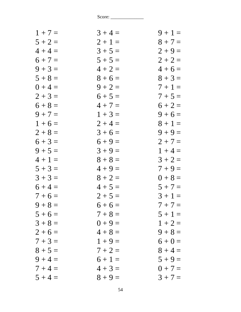| $1 + 7 =$ | $3 + 4 =$ | $9 + 1 =$ |
|-----------|-----------|-----------|
| $5 + 2 =$ | $2 + 1 =$ | $8 + 7 =$ |
| $4 + 4 =$ | $3 + 5 =$ | $2 + 9 =$ |
| $6 + 7 =$ | $5 + 5 =$ | $2 + 2 =$ |
| $9 + 3 =$ | $4 + 2 =$ | $4+6=$    |
| $5 + 8 =$ | $8 + 6 =$ | $8 + 3 =$ |
| $0 + 4 =$ | $9 + 2 =$ | $7 + 1 =$ |
| $2 + 3 =$ | $6 + 5 =$ | $7 + 5 =$ |
| $6 + 8 =$ | $4 + 7 =$ | $6 + 2 =$ |
| $9 + 7 =$ | $1 + 3 =$ | $9 + 6 =$ |
| $1 + 6 =$ | $2 + 4 =$ | $8 + 1 =$ |
| $2 + 8 =$ | $3 + 6 =$ | $9 + 9 =$ |
| $6 + 3 =$ | $6 + 9 =$ | $2 + 7 =$ |
| $9 + 5 =$ | $3 + 9 =$ | $1 + 4 =$ |
| $4 + 1 =$ | $8 + 8 =$ | $3 + 2 =$ |
| $5 + 3 =$ | $4 + 9 =$ | $7 + 9 =$ |
| $3 + 3 =$ | $8 + 2 =$ | $0 + 8 =$ |
| $6 + 4 =$ | $4 + 5 =$ | $5 + 7 =$ |
| $7 + 6 =$ | $2 + 5 =$ | $3 + 1 =$ |
| $9 + 8 =$ | $6+6=$    | $7 + 7 =$ |
| $5 + 6 =$ | $7 + 8 =$ | $5 + 1 =$ |
| $3 + 8 =$ | $0 + 9 =$ | $1 + 2 =$ |
| $2 + 6 =$ | $4 + 8 =$ | $9 + 8 =$ |
| $7 + 3 =$ | $1 + 9 =$ | $6 + 0 =$ |
| $8 + 5 =$ | $7 + 2 =$ | $8 + 4 =$ |
| $9 + 4 =$ | $6 + 1 =$ | $5 + 9 =$ |
| $7 + 4 =$ | $4 + 3 =$ | $0 + 7 =$ |
| $5 + 4 =$ | $8 + 9 =$ | $3 + 7 =$ |
|           |           |           |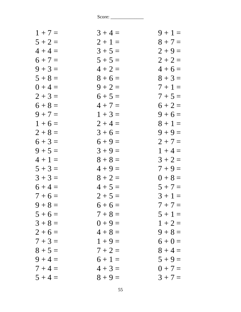| $1 + 7 =$ | $3 + 4 =$ | $9 + 1 =$ |
|-----------|-----------|-----------|
| $5 + 2 =$ | $2 + 1 =$ | $8 + 7 =$ |
| $4 + 4 =$ | $3 + 5 =$ | $2 + 9 =$ |
| $6 + 7 =$ | $5 + 5 =$ | $2 + 2 =$ |
| $9 + 3 =$ | $4 + 2 =$ | $4+6=$    |
| $5 + 8 =$ | $8 + 6 =$ | $8 + 3 =$ |
| $0 + 4 =$ | $9 + 2 =$ | $7+1=$    |
| $2 + 3 =$ | $6 + 5 =$ | $7 + 5 =$ |
| $6 + 8 =$ | $4 + 7 =$ | $6 + 2 =$ |
| $9 + 7 =$ | $1 + 3 =$ | $9 + 6 =$ |
| $1 + 6 =$ | $2 + 4 =$ | $8 + 1 =$ |
| $2 + 8 =$ | $3 + 6 =$ | $9 + 9 =$ |
| $6 + 3 =$ | $6 + 9 =$ | $2 + 7 =$ |
| $9 + 5 =$ | $3 + 9 =$ | $1 + 4 =$ |
| $4 + 1 =$ | $8 + 8 =$ | $3 + 2 =$ |
| $5 + 3 =$ | $4 + 9 =$ | $7 + 9 =$ |
| $3 + 3 =$ | $8 + 2 =$ | $0 + 8 =$ |
| $6 + 4 =$ | $4 + 5 =$ | $5 + 7 =$ |
| $7 + 6 =$ | $2 + 5 =$ | $3 + 1 =$ |
| $9 + 8 =$ | $6+6=$    | $7 + 7 =$ |
| $5 + 6 =$ | $7 + 8 =$ | $5 + 1 =$ |
| $3 + 8 =$ | $0 + 9 =$ | $1 + 2 =$ |
| $2 + 6 =$ | $4 + 8 =$ | $9 + 8 =$ |
| $7 + 3 =$ | $1 + 9 =$ | $6 + 0 =$ |
| $8 + 5 =$ | $7 + 2 =$ | $8 + 4 =$ |
| $9 + 4 =$ | $6 + 1 =$ | $5 + 9 =$ |
| $7 + 4 =$ | $4 + 3 =$ | $0 + 7 =$ |
| $5 + 4 =$ | $8 + 9 =$ | $3 + 7 =$ |
|           |           |           |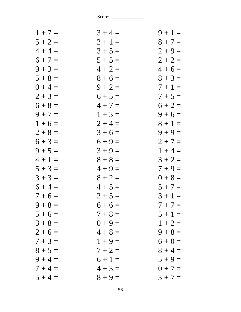| $1 + 7 =$ | $3 + 4 =$ | $9 + 1 =$ |
|-----------|-----------|-----------|
| $5 + 2 =$ | $2 + 1 =$ | $8 + 7 =$ |
| $4 + 4 =$ | $3 + 5 =$ | $2 + 9 =$ |
| $6 + 7 =$ | $5 + 5 =$ | $2 + 2 =$ |
| $9 + 3 =$ | $4 + 2 =$ | $4+6=$    |
| $5 + 8 =$ | $8 + 6 =$ | $8 + 3 =$ |
| $0 + 4 =$ | $9 + 2 =$ | $7+1=$    |
| $2 + 3 =$ | $6 + 5 =$ | $7 + 5 =$ |
| $6 + 8 =$ | $4 + 7 =$ | $6 + 2 =$ |
| $9 + 7 =$ | $1 + 3 =$ | $9 + 6 =$ |
| $1 + 6 =$ | $2 + 4 =$ | $8 + 1 =$ |
| $2 + 8 =$ | $3 + 6 =$ | $9 + 9 =$ |
| $6 + 3 =$ | $6 + 9 =$ | $2 + 7 =$ |
| $9 + 5 =$ | $3 + 9 =$ | $1 + 4 =$ |
| $4 + 1 =$ | $8 + 8 =$ | $3 + 2 =$ |
| $5 + 3 =$ | $4 + 9 =$ | $7 + 9 =$ |
| $3 + 3 =$ | $8 + 2 =$ | $0 + 8 =$ |
| $6 + 4 =$ | $4 + 5 =$ | $5 + 7 =$ |
| $7 + 6 =$ | $2 + 5 =$ | $3 + 1 =$ |
| $9 + 8 =$ | $6+6=$    | $7 + 7 =$ |
| $5 + 6 =$ | $7 + 8 =$ | $5 + 1 =$ |
| $3 + 8 =$ | $0 + 9 =$ | $1 + 2 =$ |
| $2 + 6 =$ | $4 + 8 =$ | $9 + 8 =$ |
| $7 + 3 =$ | $1 + 9 =$ | $6 + 0 =$ |
| $8 + 5 =$ | $7 + 2 =$ | $8 + 4 =$ |
| $9 + 4 =$ | $6 + 1 =$ | $5 + 9 =$ |
| $7 + 4 =$ | $4 + 3 =$ | $0 + 7 =$ |
| $5 + 4 =$ | $8 + 9 =$ | $3 + 7 =$ |
|           |           |           |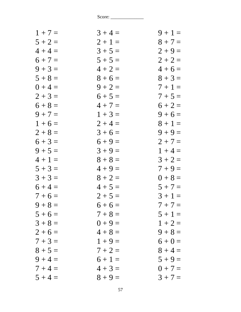| $1 + 7 =$ | $3 + 4 =$ | $9 + 1 =$ |
|-----------|-----------|-----------|
| $5 + 2 =$ | $2 + 1 =$ | $8 + 7 =$ |
| $4 + 4 =$ | $3 + 5 =$ | $2 + 9 =$ |
| $6 + 7 =$ | $5 + 5 =$ | $2 + 2 =$ |
| $9 + 3 =$ | $4 + 2 =$ | $4+6=$    |
| $5 + 8 =$ | $8 + 6 =$ | $8 + 3 =$ |
| $0 + 4 =$ | $9 + 2 =$ | $7+1=$    |
| $2 + 3 =$ | $6 + 5 =$ | $7 + 5 =$ |
| $6 + 8 =$ | $4 + 7 =$ | $6 + 2 =$ |
| $9 + 7 =$ | $1 + 3 =$ | $9 + 6 =$ |
| $1 + 6 =$ | $2 + 4 =$ | $8 + 1 =$ |
| $2 + 8 =$ | $3 + 6 =$ | $9 + 9 =$ |
| $6 + 3 =$ | $6 + 9 =$ | $2 + 7 =$ |
| $9 + 5 =$ | $3 + 9 =$ | $1 + 4 =$ |
| $4 + 1 =$ | $8 + 8 =$ | $3 + 2 =$ |
| $5 + 3 =$ | $4 + 9 =$ | $7 + 9 =$ |
| $3 + 3 =$ | $8 + 2 =$ | $0 + 8 =$ |
| $6 + 4 =$ | $4 + 5 =$ | $5 + 7 =$ |
| $7 + 6 =$ | $2 + 5 =$ | $3 + 1 =$ |
| $9 + 8 =$ | $6+6=$    | $7 + 7 =$ |
| $5 + 6 =$ | $7 + 8 =$ | $5 + 1 =$ |
| $3 + 8 =$ | $0 + 9 =$ | $1 + 2 =$ |
| $2+6=$    | $4 + 8 =$ | $9 + 8 =$ |
| $7 + 3 =$ | $1 + 9 =$ | $6 + 0 =$ |
| $8 + 5 =$ | $7 + 2 =$ | $8 + 4 =$ |
| $9 + 4 =$ | $6 + 1 =$ | $5 + 9 =$ |
| $7 + 4 =$ | $4 + 3 =$ | $0 + 7 =$ |
| $5 + 4 =$ | $8 + 9 =$ | $3 + 7 =$ |
|           |           |           |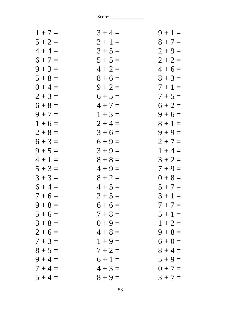| $1 + 7 =$ | $3 + 4 =$ | $9 + 1 =$ |
|-----------|-----------|-----------|
| $5 + 2 =$ | $2 + 1 =$ | $8 + 7 =$ |
| $4 + 4 =$ | $3 + 5 =$ | $2 + 9 =$ |
| $6 + 7 =$ | $5 + 5 =$ | $2 + 2 =$ |
| $9 + 3 =$ | $4 + 2 =$ | $4+6=$    |
| $5 + 8 =$ | $8 + 6 =$ | $8 + 3 =$ |
| $0 + 4 =$ | $9 + 2 =$ | $7 + 1 =$ |
| $2 + 3 =$ | $6 + 5 =$ | $7 + 5 =$ |
| $6 + 8 =$ | $4 + 7 =$ | $6 + 2 =$ |
| $9 + 7 =$ | $1 + 3 =$ | $9 + 6 =$ |
| $1 + 6 =$ | $2 + 4 =$ | $8 + 1 =$ |
| $2 + 8 =$ | $3 + 6 =$ | $9 + 9 =$ |
| $6 + 3 =$ | $6 + 9 =$ | $2 + 7 =$ |
| $9 + 5 =$ | $3 + 9 =$ | $1 + 4 =$ |
| $4 + 1 =$ | $8 + 8 =$ | $3 + 2 =$ |
| $5 + 3 =$ | $4 + 9 =$ | $7 + 9 =$ |
| $3 + 3 =$ | $8 + 2 =$ | $0 + 8 =$ |
| $6 + 4 =$ | $4 + 5 =$ | $5 + 7 =$ |
| $7 + 6 =$ | $2 + 5 =$ | $3 + 1 =$ |
| $9 + 8 =$ | $6+6=$    | $7 + 7 =$ |
| $5 + 6 =$ | $7 + 8 =$ | $5 + 1 =$ |
| $3 + 8 =$ | $0 + 9 =$ | $1 + 2 =$ |
| $2 + 6 =$ | $4 + 8 =$ | $9 + 8 =$ |
| $7 + 3 =$ | $1 + 9 =$ | $6 + 0 =$ |
| $8 + 5 =$ | $7 + 2 =$ | $8 + 4 =$ |
| $9 + 4 =$ | $6 + 1 =$ | $5 + 9 =$ |
| $7 + 4 =$ | $4 + 3 =$ | $0 + 7 =$ |
| $5 + 4 =$ | $8 + 9 =$ | $3 + 7 =$ |
|           |           |           |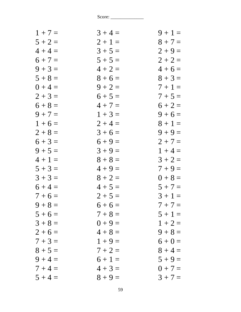| $1 + 7 =$ | $3 + 4 =$ | $9 + 1 =$ |
|-----------|-----------|-----------|
| $5 + 2 =$ | $2 + 1 =$ | $8 + 7 =$ |
| $4 + 4 =$ | $3 + 5 =$ | $2 + 9 =$ |
| $6 + 7 =$ | $5 + 5 =$ | $2 + 2 =$ |
| $9 + 3 =$ | $4 + 2 =$ | $4+6=$    |
| $5 + 8 =$ | $8 + 6 =$ | $8 + 3 =$ |
| $0 + 4 =$ | $9 + 2 =$ | $7 + 1 =$ |
| $2 + 3 =$ | $6 + 5 =$ | $7 + 5 =$ |
| $6 + 8 =$ | $4 + 7 =$ | $6 + 2 =$ |
| $9 + 7 =$ | $1 + 3 =$ | $9 + 6 =$ |
| $1 + 6 =$ | $2 + 4 =$ | $8 + 1 =$ |
| $2 + 8 =$ | $3 + 6 =$ | $9 + 9 =$ |
| $6 + 3 =$ | $6 + 9 =$ | $2 + 7 =$ |
| $9 + 5 =$ | $3 + 9 =$ | $1 + 4 =$ |
| $4 + 1 =$ | $8 + 8 =$ | $3 + 2 =$ |
| $5 + 3 =$ | $4 + 9 =$ | $7 + 9 =$ |
| $3 + 3 =$ | $8 + 2 =$ | $0 + 8 =$ |
| $6 + 4 =$ | $4 + 5 =$ | $5 + 7 =$ |
| $7 + 6 =$ | $2 + 5 =$ | $3 + 1 =$ |
| $9 + 8 =$ | $6+6=$    | $7 + 7 =$ |
| $5 + 6 =$ | $7 + 8 =$ | $5 + 1 =$ |
| $3 + 8 =$ | $0 + 9 =$ | $1 + 2 =$ |
| $2 + 6 =$ | $4 + 8 =$ | $9 + 8 =$ |
| $7 + 3 =$ | $1 + 9 =$ | $6 + 0 =$ |
| $8 + 5 =$ | $7 + 2 =$ | $8 + 4 =$ |
| $9 + 4 =$ | $6 + 1 =$ | $5 + 9 =$ |
| $7 + 4 =$ | $4 + 3 =$ | $0 + 7 =$ |
| $5 + 4 =$ | $8 + 9 =$ | $3 + 7 =$ |
|           |           |           |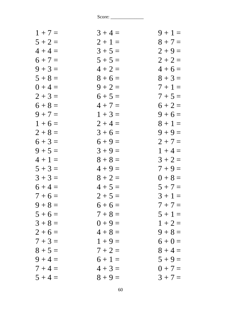| $1 + 7 =$ | $3 + 4 =$ | $9 + 1 =$ |
|-----------|-----------|-----------|
| $5 + 2 =$ | $2 + 1 =$ | $8 + 7 =$ |
| $4 + 4 =$ | $3 + 5 =$ | $2 + 9 =$ |
| $6 + 7 =$ | $5 + 5 =$ | $2 + 2 =$ |
| $9 + 3 =$ | $4 + 2 =$ | $4+6=$    |
| $5 + 8 =$ | $8 + 6 =$ | $8 + 3 =$ |
| $0 + 4 =$ | $9 + 2 =$ | $7 + 1 =$ |
| $2 + 3 =$ | $6 + 5 =$ | $7 + 5 =$ |
| $6 + 8 =$ | $4 + 7 =$ | $6 + 2 =$ |
| $9 + 7 =$ | $1 + 3 =$ | $9 + 6 =$ |
| $1 + 6 =$ | $2 + 4 =$ | $8 + 1 =$ |
| $2 + 8 =$ | $3 + 6 =$ | $9 + 9 =$ |
| $6 + 3 =$ | $6 + 9 =$ | $2 + 7 =$ |
| $9 + 5 =$ | $3 + 9 =$ | $1 + 4 =$ |
| $4 + 1 =$ | $8 + 8 =$ | $3 + 2 =$ |
| $5 + 3 =$ | $4 + 9 =$ | $7 + 9 =$ |
| $3 + 3 =$ | $8 + 2 =$ | $0 + 8 =$ |
| $6 + 4 =$ | $4 + 5 =$ | $5 + 7 =$ |
| $7 + 6 =$ | $2 + 5 =$ | $3 + 1 =$ |
| $9 + 8 =$ | $6+6=$    | $7 + 7 =$ |
| $5 + 6 =$ | $7 + 8 =$ | $5 + 1 =$ |
| $3 + 8 =$ | $0 + 9 =$ | $1 + 2 =$ |
| $2+6=$    | $4 + 8 =$ | $9 + 8 =$ |
| $7 + 3 =$ | $1 + 9 =$ | $6 + 0 =$ |
| $8 + 5 =$ | $7 + 2 =$ | $8 + 4 =$ |
| $9 + 4 =$ | $6 + 1 =$ | $5 + 9 =$ |
| $7 + 4 =$ | $4 + 3 =$ | $0 + 7 =$ |
| $5 + 4 =$ | $8 + 9 =$ | $3 + 7 =$ |
|           |           |           |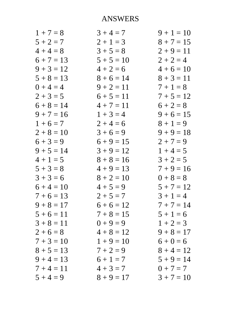## **ANSWERS**

| $1 + 7 = 8$  | $3 + 4 = 7$  | $9 + 1 = 10$ |
|--------------|--------------|--------------|
| $5 + 2 = 7$  | $2 + 1 = 3$  | $8 + 7 = 15$ |
| $4 + 4 = 8$  | $3 + 5 = 8$  | $2 + 9 = 11$ |
| $6 + 7 = 13$ | $5 + 5 = 10$ | $2 + 2 = 4$  |
| $9 + 3 = 12$ | $4 + 2 = 6$  | $4+6=10$     |
| $5 + 8 = 13$ | $8 + 6 = 14$ | $8 + 3 = 11$ |
| $0 + 4 = 4$  | $9 + 2 = 11$ | $7 + 1 = 8$  |
| $2 + 3 = 5$  | $6 + 5 = 11$ | $7 + 5 = 12$ |
| $6 + 8 = 14$ | $4 + 7 = 11$ | $6 + 2 = 8$  |
| $9 + 7 = 16$ | $1 + 3 = 4$  | $9 + 6 = 15$ |
| $1+6=7$      | $2+4=6$      | $8 + 1 = 9$  |
| $2 + 8 = 10$ | $3+6=9$      | $9 + 9 = 18$ |
| $6 + 3 = 9$  | $6 + 9 = 15$ | $2 + 7 = 9$  |
| $9 + 5 = 14$ | $3 + 9 = 12$ | $1 + 4 = 5$  |
| $4 + 1 = 5$  | $8 + 8 = 16$ | $3 + 2 = 5$  |
| $5 + 3 = 8$  | $4 + 9 = 13$ | $7 + 9 = 16$ |
| $3 + 3 = 6$  | $8 + 2 = 10$ | $0 + 8 = 8$  |
| $6 + 4 = 10$ | $4 + 5 = 9$  | $5 + 7 = 12$ |
| $7 + 6 = 13$ | $2 + 5 = 7$  | $3 + 1 = 4$  |
| $9 + 8 = 17$ | $6+6=12$     | $7 + 7 = 14$ |
| $5+6=11$     | $7 + 8 = 15$ | $5 + 1 = 6$  |
| $3 + 8 = 11$ | $0 + 9 = 9$  | $1 + 2 = 3$  |
| $2 + 6 = 8$  | $4 + 8 = 12$ | $9 + 8 = 17$ |
| $7 + 3 = 10$ | $1 + 9 = 10$ | $6 + 0 = 6$  |
| $8 + 5 = 13$ | $7 + 2 = 9$  | $8 + 4 = 12$ |
| $9 + 4 = 13$ | $6+1=7$      | $5 + 9 = 14$ |
| $7 + 4 = 11$ | $4 + 3 = 7$  | $0 + 7 = 7$  |
| $5 + 4 = 9$  | $8 + 9 = 17$ | $3 + 7 = 10$ |
|              |              |              |